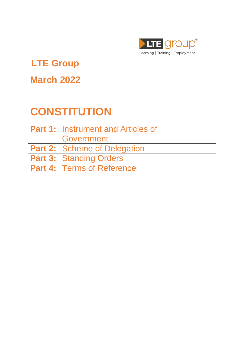

# **LTE Group**

# **March 2022**

# **CONSTITUTION**

| <b>Part 1: Instrument and Articles of</b> |
|-------------------------------------------|
| <b>Government</b>                         |
| <b>Part 2: Scheme of Delegation</b>       |
| <b>Part 3: Standing Orders</b>            |
| <b>Part 4: Terms of Reference</b>         |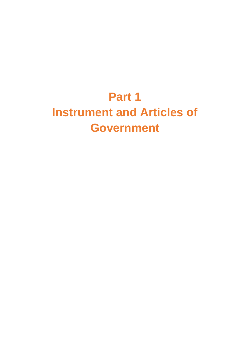# **Part 1 Instrument and Articles of Government**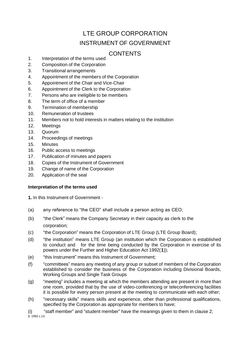# LTE GROUP CORPORATION INSTRUMENT OF GOVERNMENT

# **CONTENTS**

- 1. Interpretation of the terms used
- 2. Composition of the Corporation 3. Transitional arrangements
- 
- 4. Appointment of the members of the Corporation
- 5. Appointment of the Chair and Vice-Chair
- 6. Appointment of the Clerk to the Corporation
- 7. Persons who are ineligible to be members
- 8. The term of office of a member
- 9. Termination of membership
- 10. Remuneration of trustees
- 11. Members not to hold interests in matters relating to the institution
- 12. Meetings
- 13. Quorum
- 14. Proceedings of meetings
- 15. Minutes
- 16. Public access to meetings
- 17. Publication of minutes and papers
- 18. Copies of the Instrument of Government
- 19. Change of name of the Corporation
- 20. Application of the seal

# **Interpretation of the terms used**

**1.** In this Instrument of Government -

- (a) any reference to "the CEO" shall include a person acting as CEO;
- (b) "the Clerk" means the Company Secretary in their capacity as clerk to the corporation;
- (c) "the Corporation" means the Corporation of LTE Group (LTE Group Board);
- (d) "the institution" means LTE Group (an institution which the Corporation is established to conduct and for the time being conducted by the Corporation in exercise of its powers under the Further and Higher Education Act 1992(**1**));
- (e) "this Instrument" means this Instrument of Government;
- (f) "committees" means any meeting of any group or subset of members of the Corporation established to consider the business of the Corporation including Divisional Boards, Working Groups and Single Task Groups
- (g) "meeting" includes a meeting at which the members attending are present in more than one room, provided that by the use of video-conferencing or teleconferencing facilities it is possible for every person present at the meeting to communicate with each other;
- (h) "necessary skills" means skills and experience, other than professional qualifications, specified by the Corporation as appropriate for members to have;

(i) "staff member" and "student member" have the meanings given to them in clause 2; **1** 1992 c.13.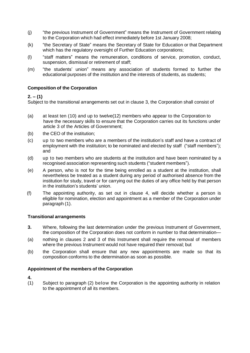- (j) "the previous Instrument of Government" means the Instrument of Government relating to the Corporation which had effect immediately before 1st January 2008;
- (k) "the Secretary of State" means the Secretary of State for Education or that Department which has the regulatory oversight of Further Education corporations;
- (l) "staff matters" means the remuneration, conditions of service, promotion, conduct, suspension, dismissal or retirement of staff;
- (m) "the students' union" means any association of students formed to further the educational purposes of the institution and the interests of students, as students;

# **Composition of the Corporation**

# **2. – (1)**

Subject to the transitional arrangements set out in clause 3, the Corporation shall consist of

- (a) at least ten (10) and up to twelve(12) members who appear to the Corporation to have the necessary skills to ensure that the Corporation carries out its functions under article 3 of the Articles of Government;
- (b) the CEO of the institution;
- (c) up to two members who are a members of the institution's staff and have a contract of employment with the institution; to be nominated and elected by staff ("staff members"); and
- (d) up to two members who are students at the institution and have been nominated by a recognised association representing such students ("student members").
- (e) A person, who is not for the time being enrolled as a student at the institution, shall nevertheless be treated as a student during any period of authorised absence from the institution for study, travel or for carrying out the duties of any office held by that person in the institution's students' union.
- (f) The appointing authority, as set out in clause 4, will decide whether a person is eligible for nomination, election and appointment as a member of the Corporation under paragraph (1).

#### **Transitional arrangements**

- **3.** Where, following the last determination under the previous Instrument of Government, the composition of the Corporation does not conform in number to that determination—
- (a) nothing in clauses 2 and 3 of this Instrument shall require the removal of members where the previous Instrument would not have required their removal; but
- (b) the Corporation shall ensure that any new appointments are made so that its composition conforms to the determination as soon as possible.

#### **Appointment of the members of the Corporation**

**4.**

(1) Subject to paragraph (2) below the Corporation is the appointing authority in relation to the appointment of all its members.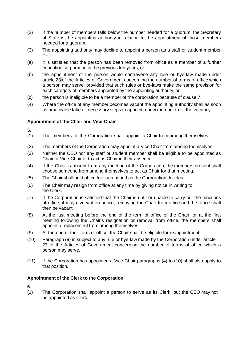- (2) If the number of members falls below the number needed for a quorum, the Secretary of State is the appointing authority in relation to the appointment of those members needed for a quorum.
- (3) The appointing authority may decline to appoint a person as a staff or student member if -
- (a) it is satisfied that the person has been removed from office as a member of a further education corporation in the previous ten years; or
- (b) the appointment of the person would contravene any rule or bye-law made under article 23 of the Articles of Government concerning the number of terms of office which a person may serve, provided that such rules or bye-laws make the same provision for each category of members appointed by the appointing authority; or
- (c) the person is ineligible to be a member of the corporation because of clause 7.
- (4) Where the office of any member becomes vacant the appointing authority shall as soon as practicable take all necessary steps to appoint a new member to fill the vacancy.

#### **Appointment of the Chair and Vice-Chair**

**5.**

- (1) The members of the Corporation shall appoint a Chair from among themselves.
- (2) The members of the Corporation may appoint a Vice Chair from among themselves.
- (3) Neither the CEO nor any staff or student member shall be eligible to be appointed as Chair or Vice-Chair or to act as Chair in their absence.
- (4) If the Chair is absent from any meeting of the Corporation, the members present shall choose someone from among themselves to act as Chair for that meeting.
- (5) The Chair shall hold office for such period as the Corporation decides.
- (6) The Chair may resign from office at any time by giving notice in writing to the Clerk.
- (7) If the Corporation is satisfied that the Chair is unfit or unable to carry out the functions of office, it may give written notice, removing the Chair from office and the office shall then be vacant.
- (8) At the last meeting before the end of the term of office of the Chair, or at the first meeting following the Chair's resignation or removal from office, the members shall appoint a replacement from among themselves.
- (9) At the end of their term of office, the Chair shall be eligible for reappointment.
- (10) Paragraph (9) is subject to any rule or bye-law made by the Corporation under article 23 of the Articles of Government concerning the number of terms of office which a person may serve.
- (11) If the Corporation has appointed a Vice Chair paragraphs (4) to (10) shall also apply to that position.

#### **Appointment of the Clerk to the Corporation**

**6.**

(1) The Corporation shall appoint a person to serve as its Clerk, but the CEO may not be appointed as Clerk.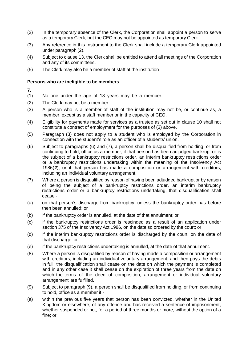- (2) In the temporary absence of the Clerk, the Corporation shall appoint a person to serve as a temporary Clerk, but the CEO may not be appointed as temporary Clerk.
- (3) Any reference in this Instrument to the Clerk shall include a temporary Clerk appointed under paragraph (2).
- (4) Subject to clause 13, the Clerk shall be entitled to attend all meetings of the Corporation and any of its committees.
- (5) The Clerk may also be a member of staff at the institution

#### **Persons who are ineligible to be members**

- **7.**
- (1) No one under the age of 18 years may be a member.
- (2) The Clerk may not be a member
- (3) A person who is a member of staff of the institution may not be, or continue as, a member, except as a staff member or in the capacity of CEO.
- (4) Eligibility for payments made for services as a trustee as set out in clause 10 shall not constitute a contract of employment for the purposes of (3) above.
- (5) Paragraph (3) does not apply to a student who is employed by the Corporation in connection with the student's role as an officer of a students' union.
- (6) Subject to paragraphs (6) and (7), a person shall be disqualified from holding, or from continuing to hold, office as a member, if that person has been adjudged bankrupt or is the subject of a bankruptcy restrictions order, an interim bankruptcy restrictions order or a bankruptcy restrictions undertaking within the meaning of the Insolvency Act 1986(**2**), or if that person has made a composition or arrangement with creditors, including an individual voluntary arrangement.
- (7) Where a person is disqualified by reason of having been adjudged bankrupt or by reason of being the subject of a bankruptcy restrictions order, an interim bankruptcy restrictions order or a bankruptcy restrictions undertaking, that disqualification shall cease -
- (a) on that person's discharge from bankruptcy, unless the bankruptcy order has before then been annulled; or
- (b) if the bankruptcy order is annulled, at the date of that annulment; or
- (c) if the bankruptcy restrictions order is rescinded as a result of an application under section 375 of the Insolvency Act 1986, on the date so ordered by the court; or
- (d) if the interim bankruptcy restrictions order is discharged by the court, on the date of that discharge; or
- (e) if the bankruptcy restrictions undertaking is annulled, at the date of that annulment.
- (8) Where a person is disqualified by reason of having made a composition or arrangement with creditors, including an individual voluntary arrangement, and then pays the debts in full, the disqualification shall cease on the date on which the payment is completed and in any other case it shall cease on the expiration of three years from the date on which the terms of the deed of composition, arrangement or individual voluntary arrangement are fulfilled.
- (9) Subject to paragraph (9), a person shall be disqualified from holding, or from continuing to hold, office as a member if -
- (a) within the previous five years that person has been convicted, whether in the United Kingdom or elsewhere, of any offence and has received a sentence of imprisonment, whether suspended or not, for a period of three months or more, without the option of a fine; or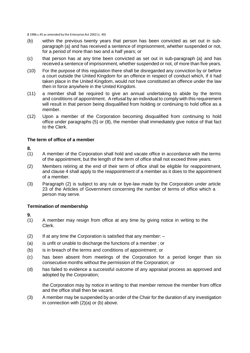**2** 1986.c.45 as amended by the Enterprise Act 2002 (c. 40)

- (b) within the previous twenty years that person has been convicted as set out in subparagraph (a) and has received a sentence of imprisonment, whether suspended or not, for a period of more than two and a half years; or
- (c) that person has at any time been convicted as set out in sub-paragraph (a) and has received a sentence of imprisonment, whether suspended or not, of more than five years.
- (10) For the purpose of this regulation there shall be disregarded any conviction by or before a court outside the United Kingdom for an offence in respect of conduct which, if it had taken place in the United Kingdom, would not have constituted an offence under the law then in force anywhere in the United Kingdom.
- (11) a member shall be required to give an annual undertaking to abide by the terms and conditions of appointment. A refusal by an individual to comply with this requirement will result in that person being disqualified from holding or continuing to hold office as a member.
- (12) Upon a member of the Corporation becoming disqualified from continuing to hold office under paragraphs (5) or (8), the member shall immediately give notice of that fact to the Clerk.

#### **The term of office of a member**

#### **8.**

- (1) A member of the Corporation shall hold and vacate office in accordance with the terms of the appointment, but the length of the term of office shall not exceed three years.
- (2) Members retiring at the end of their term of office shall be eligible for reappointment, and clause 4 shall apply to the reappointment of a member as it does to the appointment of a member.
- (3) Paragraph (2) is subject to any rule or bye-law made by the Corporation under article 23 of the Articles of Government concerning the number of terms of office which a person may serve.

#### **Termination of membership**

#### **9.**

- (1) A member may resign from office at any time by giving notice in writing to the Clerk.
- $(2)$  If at any time the Corporation is satisfied that any member:  $-$
- (a) is unfit or unable to discharge the functions of a member ; or
- (b) is in breach of the terms and conditions of appointment; or
- (c) has been absent from meetings of the Corporation for a period longer than six consecutive months without the permission of the Corporation; or
- (d) has failed to evidence a successful outcome of any appraisal process as approved and adopted by the Corporation;

the Corporation may by notice in writing to that member remove the member from office and the office shall then be vacant.

(3) A member may be suspended by an order of the Chair for the duration of any investigation in connection with (2)(a) or (b) above.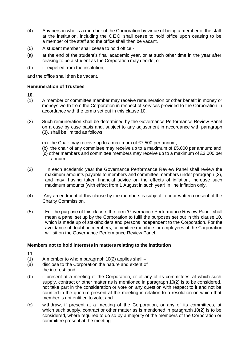- (4) Any person who is a member of the Corporation by virtue of being a member of the staff at the institution, including the CEO shall cease to hold office upon ceasing to be a member of the staff and the office shall then be vacant.
- (5) A student member shall cease to hold office:-
- (a) at the end of the student's final academic year, or at such other time in the year after ceasing to be a student as the Corporation may decide; or
- (b) if expelled from the institution,

and the office shall then be vacant.

# **Remuneration of Trustees**

**10.**

- (1) A member or committee member may receive remuneration or other benefit in money or moneys worth from the Corporation in respect of services provided to the Corporation in accordance with the terms set out in this clause 10.
- (2) Such remuneration shall be determined by the Governance Performance Review Panel on a case by case basis and, subject to any adjustment in accordance with paragraph (3), shall be limited as follows:
	- (a) the Chair may receive up to a maximum of £7,500 per annum;
	- (b) the chair of any committee may receive up to a maximum of £5,000 per annum; and
	- (c) other members and committee members may receive up to a maximum of £3,000 per annum.
- (3) In each academic year the Governance Performance Review Panel shall review the maximum amounts payable to members and committee members under paragraph (2), and may, having taken financial advice on the effects of inflation, increase such maximum amounts (with effect from 1 August in such year) in line inflation only.
- (4) Any amendment of this clause by the members is subject to prior written consent of the Charity Commission.
- (5) For the purpose of this clause, the term 'Governance Performance Review Panel' shall mean a panel set up by the Corporation to fulfil the purposes set out in this clause 10, which is made up of stakeholders and persons independent to the Corporation. For the avoidance of doubt no members, committee members or employees of the Corporation will sit on the Governance Performance Review Panel.

#### **Members not to hold interests in matters relating to the institution**

- $(1)$  A member to whom paragraph 10(2) applies shall –
- (a) disclose to the Corporation the nature and extent of the interest; and
- (b) if present at a meeting of the Corporation, or of any of its committees, at which such supply, contract or other matter as is mentioned in paragraph 10(2) is to be considered, not take part in the consideration or vote on any question with respect to it and not be counted in the quorum present at the meeting in relation to a resolution on which that member is not entitled to vote; and
- (c) withdraw, if present at a meeting of the Corporation, or any of its committees, at which such supply, contract or other matter as is mentioned in paragraph 10(2) is to be considered, where required to do so by a majority of the members of the Corporation or committee present at the meeting.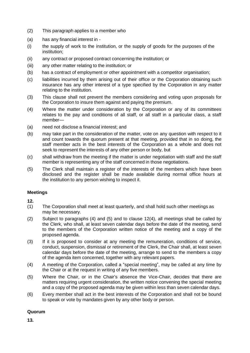- (2) This paragraph applies to a member who
- (a) has any financial interest in -
- (i) the supply of work to the institution, or the supply of goods for the purposes of the institution;
- (ii) any contract or proposed contract concerning the institution; or
- (iii) any other matter relating to the institution; or
- (b) has a contract of employment or other appointment with a competitor organisation;
- (c) liabilities incurred by them arising out of their office or the Corporation obtaining such insurance has any other interest of a type specified by the Corporation in any matter relating to the institution.
- (3) This clause shall not prevent the members considering and voting upon proposals for the Corporation to insure them against and paying the premium.
- (4) Where the matter under consideration by the Corporation or any of its committees relates to the pay and conditions of all staff, or all staff in a particular class, a staff member—
- (a) need not disclose a financial interest; and
- (b) may take part in the consideration of the matter, vote on any question with respect to it and count towards the quorum present at that meeting, provided that in so doing, the staff member acts in the best interests of the Corporation as a whole and does not seek to represent the interests of any other person or body, but
- (c) shall withdraw from the meeting if the matter is under negotiation with staff and the staff member is representing any of the staff concerned in those negotiations.
- (5) The Clerk shall maintain a register of the interests of the members which have been disclosed and the register shall be made available during normal office hours at the institution to any person wishing to inspect it.

#### **Meetings**

**12.**

- (1) The Corporation shall meet at least quarterly, and shall hold such other meetings as may be necessary.
- (2) Subject to paragraphs (4) and (5) and to clause 12(4), all meetings shall be called by the Clerk, who shall, at least seven calendar days before the date of the meeting, send to the members of the Corporation written notice of the meeting and a copy of the proposed agenda.
- (3) If it is proposed to consider at any meeting the remuneration, conditions of service, conduct, suspension, dismissal or retirement of the Clerk, the Chair shall, at least seven calendar days before the date of the meeting, arrange to send to the members a copy of the agenda item concerned, together with any relevant papers.
- (4) A meeting of the Corporation, called a "special meeting", may be called at any time by the Chair or at the request in writing of any five members.
- (5) Where the Chair, or in the Chair's absence the Vice-Chair, decides that there are matters requiring urgent consideration, the written notice convening the special meeting and a copy of the proposed agenda may be given within less than seven calendar days.
- (6) Every member shall act in the best interests of the Corporation and shall not be bound to speak or vote by mandates given by any other body or person.

# **Quorum**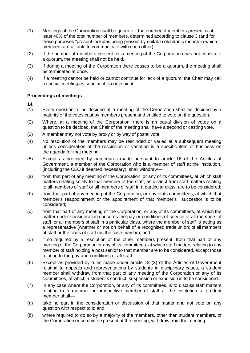- (1) Meetings of the Corporation shall be quorate if the number of members present is at least 40% of the total number of members, determined according to clause 3 (and for these purposes "present includes being present by suitable electronic means in which members are all able to communicate with each other).
- (2) If the number of members present for a meeting of the Corporation does not constitute a quorum, the meeting shall not be held.
- (3) If during a meeting of the Corporation there ceases to be a quorum, the meeting shall be terminated at once.
- (4) If a meeting cannot be held or cannot continue for lack of a quorum, the Chair may call a special meeting as soon as it is convenient.

#### **Proceedings of meetings**

- (1) Every question to be decided at a meeting of the Corporation shall be decided by a majority of the votes cast by members present and entitled to vote on the question.
- (2) Where, at a meeting of the Corporation, there is an equal division of votes on a question to be decided, the Chair of the meeting shall have a second or casting vote.
- (3) A member may not vote by proxy or by way of postal vote.
- (4) No resolution of the members may be rescinded or varied at a subsequent meeting unless consideration of the rescission or variation is a specific item of business on the agenda for that meeting.
- (5) Except as provided by procedures made pursuant to article 16 of the Articles of Government, a member of the Corporation who is a member of staff at the institution, (including the CEO if deemed necessary), shall withdraw—
- (a) from that part of any meeting of the Corporation, or any of its committees, at which staff matters relating solely to that member of the staff, as distinct from staff matters relating to all members of staff or all members of staff in a particular class, are to be considered;
- (b) from that part of any meeting of the Corporation, or any of its committees, at which that member's reappointment or the appointment of that member's successor is to be considered;
- (c) from that part of any meeting of the Corporation, or any of its committees, at which the matter under consideration concerns the pay or conditions of service of all members of staff, or all members of staff in a particular class, where the member of staff is acting as a representative (whether or not on behalf of a recognised trade union) of all members of staff or the class of staff (as the case may be); and
- (d) if so required by a resolution of the other members present, from that part of any meeting of the Corporation or any of its committees, at which staff matters relating to any member of staff holding a post senior to that member are to be considered, except those relating to the pay and conditions of all staff.
- (6) Except as provided by rules made under article 18 (3) of the Articles of Government relating to appeals and representations by students in disciplinary cases, a student member shall withdraw from that part of any meeting of the Corporation or any of its committees, at which a student's conduct, suspension or expulsion is to be considered.
- (7) In any case where the Corporation, or any of its committees, is to discuss staff matters relating to a member or prospective member of staff at the institution, a student member shall—
- (a) take no part in the consideration or discussion of that matter and not vote on any question with respect to it; and
- (b) where required to do so by a majority of the members, other than student members, of the Corporation or committee present at the meeting, withdraw from the meeting.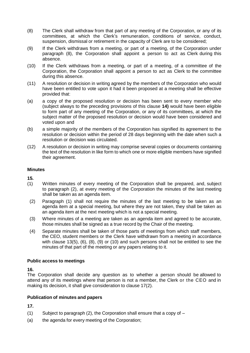- (8) The Clerk shall withdraw from that part of any meeting of the Corporation, or any of its committees, at which the Clerk's remuneration, conditions of service, conduct, suspension, dismissal or retirement in the capacity of Clerk are to be considered;
- (9) If the Clerk withdraws from a meeting, or part of a meeting, of the Corporation under paragraph (8), the Corporation shall appoint a person to act as Clerk during this absence.
- (10) If the Clerk withdraws from a meeting, or part of a meeting, of a committee of the Corporation, the Corporation shall appoint a person to act as Clerk to the committee during this absence.
- (11) A resolution or decision in writing agreed by the members of the Corporation who would have been entitled to vote upon it had it been proposed at a meeting shall be effective provided that:
- (a) a copy of the proposed resolution or decision has been sent to every member who (subject always to the preceding provisions of this clause **14)** would have been eligible to form part of any meeting of the Corporation, or any of its committees, at which the subject matter of the proposed resolution or decision would have been considered and voted upon and
- (b) a simple majority of the members of the Corporation has signified its agreement to the resolution or decision within the period of 28 days beginning with the date when such a resolution or decision was circulated.
- (12) A resolution or decision in writing may comprise several copies or documents containing the text of the resolution in like form to which one or more eligible members have signified their agreement.

#### **Minutes**

**15.**

- (1) Written minutes of every meeting of the Corporation shall be prepared, and, subject to paragraph (2), at every meeting of the Corporation the minutes of the last meeting shall be taken as an agenda item.
- (2) Paragraph (1) shall not require the minutes of the last meeting to be taken as an agenda item at a special meeting, but where they are not taken, they shall be taken as an agenda item at the next meeting which is not a special meeting.
- (3) Where minutes of a meeting are taken as an agenda item and agreed to be accurate, those minutes shall be signed as a true record by the Chair of the meeting.
- (4) Separate minutes shall be taken of those parts of meetings from which staff members, the CEO, student members or the Clerk have withdrawn from a meeting in accordance with clause 13(5), (6), (8), (9) or (10) and such persons shall not be entitled to see the minutes of that part of the meeting or any papers relating to it.

#### **Public access to meetings**

**16.**

The Corporation shall decide any question as to whether a person should be allowed to attend any of its meetings where that person is not a member, the Clerk or the CEO and in making its decision, it shall give consideration to clause 17(2).

#### **Publication of minutes and papers**

- (1) Subject to paragraph (2), the Corporation shall ensure that a copy of  $-$
- (a) the agenda for every meeting of the Corporation;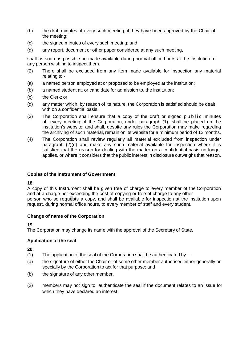- (b) the draft minutes of every such meeting, if they have been approved by the Chair of the meeting;
- (c) the signed minutes of every such meeting; and
- (d) any report, document or other paper considered at any such meeting,

shall as soon as possible be made available during normal office hours at the institution to any person wishing to inspect them.

- (2) There shall be excluded from any item made available for inspection any material relating to -
- (a) a named person employed at or proposed to be employed at the institution;
- (b) a named student at, or candidate for admission to, the institution;
- (c) the Clerk; or
- (d) any matter which, by reason of its nature, the Corporation is satisfied should be dealt with on a confidential basis.
- (3) The Corporation shall ensure that a copy of the draft or signed public minutes of every meeting of the Corporation, under paragraph (1), shall be placed on the institution's website, and shall, despite any rules the Corporation may make regarding the archiving of such material, remain on its website for a minimum period of 12 months.
- (4) The Corporation shall review regularly all material excluded from inspection under paragraph (2)(d) and make any such material available for inspection where it is satisfied that the reason for dealing with the matter on a confidential basis no longer applies, or where it considers that the public interest in disclosure outweighs that reason.

# **Copies of the Instrument of Government**

#### **18.**

A copy of this Instrument shall be given free of charge to every member of the Corporation and at a charge not exceeding the cost of copying or free of charge to any other person who so requests a copy, and shall be available for inspection at the institution upon request, during normal office hours, to every member of staff and every student.

#### **Change of name of the Corporation**

#### **19.**

The Corporation may change its name with the approval of the Secretary of State.

# **Application of the seal**

- (1) The application of the seal of the Corporation shall be authenticated by—
- (a) the signature of either the Chair or of some other member authorised either generally or specially by the Corporation to act for that purpose; and
- (b) the signature of any other member.
- (2) members may not sign to authenticate the seal if the document relates to an issue for which they have declared an interest.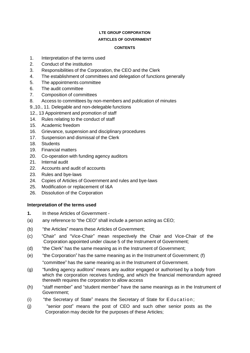# **LTE GROUP CORPORATION**

# **ARTICLES OF GOVERNMENT**

#### **CONTENTS**

- 1. Interpretation of the terms used
- 2. Conduct of the institution
- 3. Responsibilities of the Corporation, the CEO and the Clerk
- 4. The establishment of committees and delegation of functions generally
- 5. The appointments committee
- 6. The audit committee
- 7. Composition of committees
- 8. Access to committees by non-members and publication of minutes
- 9.,10., 11. Delegable and non-delegable functions
- 12., 13 Appointment and promotion of staff
- 14. Rules relating to the conduct of staff
- 15. Academic freedom
- 16. Grievance, suspension and disciplinary procedures
- 17. Suspension and dismissal of the Clerk
- 18. Students
- 19. Financial matters
- 20. Co-operation with funding agency auditors
- 21. Internal audit
- 22. Accounts and audit of accounts
- 23. Rules and bye-laws
- 24. Copies of Articles of Government and rules and bye-laws
- 25. Modification or replacement of I&A
- 26. Dissolution of the Corporation

# **Interpretation of the terms used**

- **1.** In these Articles of Government -
- (a) any reference to "the CEO" shall include a person acting as CEO;
- (b) "the Articles" means these Articles of Government;
- (c) "Chair" and "Vice-Chair" mean respectively the Chair and Vice-Chair of the Corporation appointed under clause 5 of the Instrument of Government;
- (d) "the Clerk" has the same meaning as in the Instrument of Government;
- $(e)$  "the Corporation" has the same meaning as in the Instrument of Government; (f) "committee" has the same meaning as in the Instrument of Government.
- (g) "funding agency auditors" means any auditor engaged or authorised by a body from which the corporation receives funding, and which the financial memorandum agreed therewith requires the corporation to allow access
- (h) "staff member" and "student member" have the same meanings as in the Instrument of Government;
- (i) "the Secretary of State" means the Secretary of State for Education;
- (j) "senior post" means the post of CEO and such other senior posts as the Corporation may decide for the purposes of these Articles;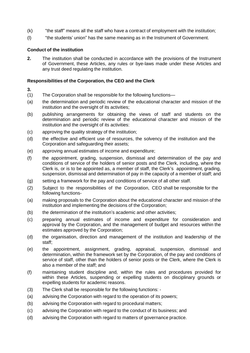- (k) "the staff" means all the staff who have a contract of employment with the institution;
- (l) "the students' union" has the same meaning as in the Instrument of Government.

# **Conduct of the institution**

**2.** The institution shall be conducted in accordance with the provisions of the Instrument of Government, these Articles, any rules or bye-laws made under these Articles and any trust deed regulating the institution.

# **Responsibilities of the Corporation, the CEO and the Clerk**

- **3.**
- (1) The Corporation shall be responsible for the following functions—
- (a) the determination and periodic review of the educational character and mission of the institution and the oversight of its activities;
- (b) publishing arrangements for obtaining the views of staff and students on the determination and periodic review of the educational character and mission of the institution and the oversight of its activities:
- (c) approving the quality strategy of the institution;
- (d) the effective and efficient use of resources, the solvency of the institution and the Corporation and safeguarding their assets;
- (e) approving annual estimates of income and expenditure;
- (f) the appointment, grading, suspension, dismissal and determination of the pay and conditions of service of the holders of senior posts and the Clerk, including, where the Clerk is, or is to be appointed as, a member of staff, the Clerk's appointment, grading, suspension, dismissal and determination of pay in the capacity of a member of staff; and
- (g) setting a framework for the pay and conditions of service of all other staff.
- (2) Subject to the responsibilities of the Corporation, CEO shall be responsible for the following functions-
- (a) making proposals to the Corporation about the educational character and mission of the institution and implementing the decisions of the Corporation;
- (b) the determination of the institution's academic and other activities;
- (c) preparing annual estimates of income and expenditure for consideration and approval by the Corporation, and the management of budget and resources within the estimates approved by the Corporation;
- (d) the organisation, direction and management of the institution and leadership of the staff;
- (e) the appointment, assignment, grading, appraisal, suspension, dismissal and determination, within the framework set by the Corporation, of the pay and conditions of service of staff, other than the holders of senior posts or the Clerk, where the Clerk is also a member of the staff; and
- (f) maintaining student discipline and, within the rules and procedures provided for within these Articles, suspending or expelling students on disciplinary grounds or expelling students for academic reasons.
- (3) The Clerk shall be responsible for the following functions: -
- (a) advising the Corporation with regard to the operation of its powers;
- (b) advising the Corporation with regard to procedural matters;
- (c) advising the Corporation with regard to the conduct of its business; and
- (d) advising the Corporation with regard to matters of governance practice.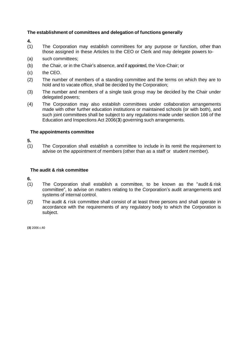# **The establishment of committees and delegation of functions generally**

**4.** 

- (1) The Corporation may establish committees for any purpose or function, other than those assigned in these Articles to the CEO or Clerk and may delegate powers to-
- (a) such committees;
- (b) the Chair, or in the Chair's absence, and if appointed, the Vice-Chair; or
- (c) the CEO.
- (2) The number of members of a standing committee and the terms on which they are to hold and to vacate office, shall be decided by the Corporation;
- (3) The number and members of a single task group may be decided by the Chair under delegated powers;
- (4) The Corporation may also establish committees under collaboration arrangements made with other further education institutions or maintained schools (or with both), and such joint committees shall be subject to any regulations made under section 166 of the Education and Inspections Act 2006(**3**) governing such arrangements.

#### **The appointments committee**

 $\frac{5}{(1)}$ The Corporation shall establish a committee to include in its remit the requirement to advise on the appointment of members (other than as a staff or student member).

## **The audit & risk committee**

**6.**

- (1) The Corporation shall establish a committee, to be known as the "audit & risk committee", to advise on matters relating to the Corporation's audit arrangements and systems of internal control.
- (2) The audit & risk committee shall consist of at least three persons and shall operate in accordance with the requirements of any regulatory body to which the Corporation is subject.

**(3)** 2006 c.40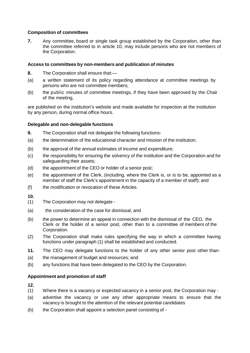# **Composition of committees**

**7.** Any committee, board or single task group established by the Corporation, other than the committee referred to in article 10, may include persons who are not members of the Corporation.

# **Access to committees by non-members and publication of minutes**

- **8.** The Corporation shall ensure that:—
- (a) a written statement of its policy regarding attendance at committee meetings by persons who are not committee members;
- (b) the public minutes of committee meetings, if they have been approved by the Chair of the meeting,

are published on the institution's website and made available for inspection at the institution by any person, during normal office hours.

# **Delegable and non-delegable functions**

- **9.** The Corporation shall not delegate the following functions-
- (a) the determination of the educational character and mission of the institution;
- (b) the approval of the annual estimates of income and expenditure;
- (c) the responsibility for ensuring the solvency of the institution and the Corporation and for safeguarding their assets;
- (d) the appointment of the CEO or holder of a senior post;
- (e) the appointment of the Clerk, (including, where the Clerk is, or is to be, appointed as a member of staff the Clerk's appointment in the capacity of a member of staff); and
- (f) the modification or revocation of these Articles.

**10.**

- (1) The Corporation may not delegate -
- (a) the consideration of the case for dismissal, and
- (b) the power to determine an appeal in connection with the dismissal of the CEO, the Clerk or the holder of a senior post, other than to a committee of members of the Corporation.
- (2) The Corporation shall make rules specifying the way in which a committee having functions under paragraph (1) shall be established and conducted.
- **11.** The CEO may delegate functions to the holder of any other senior post other than-
- (a) the management of budget and resources; and
- (b) any functions that have been delegated to the CEO by the Corporation.

#### **Appointment and promotion of staff**

- (1) Where there is a vacancy or expected vacancy in a senior post, the Corporation may -
- (a) advertise the vacancy or use any other appropriate means to ensure that the vacancy is brought to the attention of the relevant potential candidates
- (b) the Corporation shall appoint a selection panel consisting of -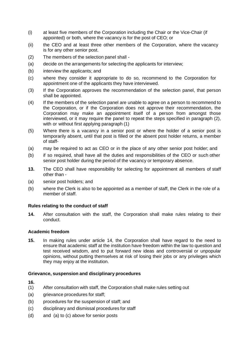- (i) at least five members of the Corporation including the Chair or the Vice-Chair (if appointed) or both, where the vacancy is for the post of CEO; or
- (ii) the CEO and at least three other members of the Corporation, where the vacancy is for any other senior post.
- (2) The members of the selection panel shall -
- (a) decide on the arrangements for selecting the applicants for interview;
- (b) interview the applicants; and
- (c) where they consider it appropriate to do so, recommend to the Corporation for appointment one of the applicants they have interviewed.
- (3) If the Corporation approves the recommendation of the selection panel, that person shall be appointed.
- (4) If the members of the selection panel are unable to agree on a person to recommend to the Corporation, or if the Corporation does not approve their recommendation, the Corporation may make an appointment itself of a person from amongst those interviewed, or it may require the panel to repeat the steps specified in paragraph (2), with or without first applying paragraph (1)
- (5) Where there is a vacancy in a senior post or where the holder of a senior post is temporarily absent, until that post is filled or the absent post holder returns, a member of staff-
- (a) may be required to act as CEO or in the place of any other senior post holder; and
- (b) if so required, shall have all the duties and responsibilities of the CEO or such other senior post holder during the period of the vacancy or temporary absence.
- **13.** The CEO shall have responsibility for selecting for appointment all members of staff other than -
- (a) senior post holders; and
- (b) where the Clerk is also to be appointed as a member of staff, the Clerk in the role of a member of staff.

#### **Rules relating to the conduct of staff**

**14.** After consultation with the staff, the Corporation shall make rules relating to their conduct.

## **Academic freedom**

**15.** In making rules under article 14, the Corporation shall have regard to the need to ensure that academic staff at the institution have freedom within the law to question and test received wisdom, and to put forward new ideas and controversial or unpopular opinions, without putting themselves at risk of losing their jobs or any privileges which they may enjoy at the institution.

#### **Grievance, suspension and disciplinary procedures**

- (1) After consultation with staff, the Corporation shall make rules setting out
- (a) grievance procedures for staff;
- (b) procedures for the suspension of staff; and
- (c) disciplinary and dismissal procedures for staff
- (d) and (a) to (c) above for senior posts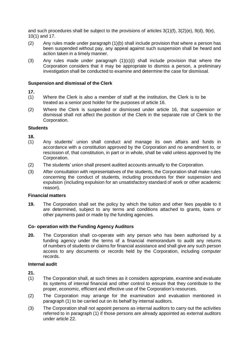and such procedures shall be subject to the provisions of articles 3(1)(f), 3(2)(e), 9(d), 9(e), 10(1) and 17.

- (2) Any rules made under paragraph (1)(b) shall include provision that where a person has been suspended without pay, any appeal against such suspension shall be heard and action taken in a timely manner.
- (3) Any rules made under paragraph  $(1)(c)(i)$  shall include provision that where the Corporation considers that it may be appropriate to dismiss a person, a preliminary investigation shall be conducted to examine and determine the case for dismissal.

#### **Suspension and dismissal of the Clerk**

- **17.**
- (1) Where the Clerk is also a member of staff at the institution, the Clerk is to be treated as a senior post holder for the purposes of article 16.
- (2) Where the Clerk is suspended or dismissed under article 16, that suspension or dismissal shall not affect the position of the Clerk in the separate role of Clerk to the Corporation.

#### **Students**

**18.**

- (1) Any students' union shall conduct and manage its own affairs and funds in accordance with a constitution approved by the Corporation and no amendment to, or rescission of, that constitution, in part or in whole, shall be valid unless approved by the Corporation.
- (2) The students' union shall present audited accounts annually to the Corporation.
- (3) After consultation with representatives of the students, the Corporation shall make rules concerning the conduct of students, including procedures for their suspension and expulsion (including expulsion for an unsatisfactory standard of work or other academic reason).

#### **Financial matters**

**19.** The Corporation shall set the policy by which the tuition and other fees payable to it are determined, subject to any terms and conditions attached to grants, loans or other payments paid or made by the funding agencies.

#### **Co- operation with the Funding Agency Auditors**

**20.** The Corporation shall co-operate with any person who has been authorised by a funding agency under the terms of a financial memorandum to audit any returns of numbers of students or claims for financial assistance and shall give any such person access to any documents or records held by the Corporation, including computer records.

#### **Internal audit**

- (1) The Corporation shall, at such times as it considers appropriate, examine and evaluate its systems of internal financial and other control to ensure that they contribute to the proper, economic, efficient and effective use of the Corporation's resources.
- (2) The Corporation may arrange for the examination and evaluation mentioned in paragraph (1) to be carried out on its behalf by internal auditors.
- (3) The Corporation shall not appoint persons as internal auditors to carry out the activities referred to in paragraph (1) if those persons are already appointed as external auditors under article 22.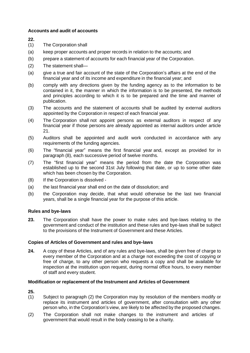# **Accounts and audit of accounts**

**22.**

- (1) The Corporation shall
- (a) keep proper accounts and proper records in relation to the accounts; and
- (b) prepare a statement of accounts for each financial year of the Corporation.
- (2) The statement shall—
- (a) give a true and fair account of the state of the Corporation's affairs at the end of the financial year and of its income and expenditure in the financial year; and
- (b) comply with any directions given by the funding agency as to the information to be contained in it, the manner in which the information is to be presented, the methods and principles according to which it is to be prepared and the time and manner of publication.
- (3) The accounts and the statement of accounts shall be audited by external auditors appointed by the Corporation in respect of each financial year.
- (4) The Corporation shall not appoint persons as external auditors in respect of any financial year if those persons are already appointed as internal auditors under article 21.
- (5) Auditors shall be appointed and audit work conducted in accordance with any requirements of the funding agencies.
- (6) The "financial year" means the first financial year and, except as provided for in paragraph (8), each successive period of twelve months.
- (7) The "first financial year" means the period from the date the Corporation was established up to the second 31st July following that date, or up to some other date which has been chosen by the Corporation.
- (8) If the Corporation is dissolved -
- (a) the last financial year shall end on the date of dissolution; and
- (b) the Corporation may decide, that what would otherwise be the last two financial years, shall be a single financial year for the purpose of this article.

#### **Rules and bye-laws**

**23.** The Corporation shall have the power to make rules and bye-laws relating to the government and conduct of the institution and these rules and bye-laws shall be subject to the provisions of the Instrument of Government and these Articles.

#### **Copies of Articles of Government and rules and bye-laws**

**24.** A copy of these Articles, and of any rules and bye-laws, shall be given free of charge to every member of the Corporation and at a charge not exceeding the cost of copying or free of charge, to any other person who requests a copy and shall be available for inspection at the institution upon request, during normal office hours, to every member of staff and every student.

#### **Modification or replacement of the Instrument and Articles of Government**

- (1) Subject to paragraph (2) the Corporation may by resolution of the members modify or replace its instrument and articles of government, after consultation with any other person who, in the Corporation's view, are likely to be affected by the proposed changes.
- (2) The Corporation shall not make changes to the instrument and articles of government that would result in the body ceasing to be a charity.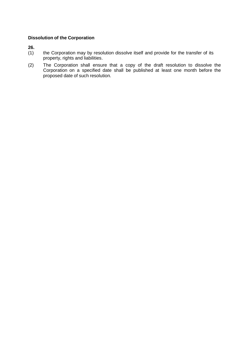# **Dissolution of the Corporation**

- the Corporation may by resolution dissolve itself and provide for the transfer of its property, rights and liabilities.
- (2) The Corporation shall ensure that a copy of the draft resolution to dissolve the Corporation on a specified date shall be published at least one month before the proposed date of such resolution.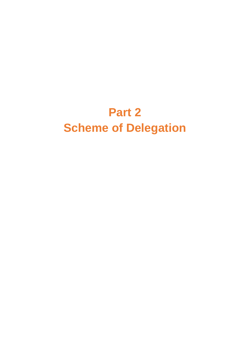# **Part 2 Scheme of Delegation**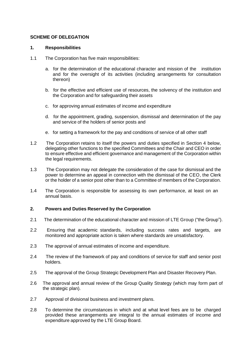## **SCHEME OF DELEGATION**

#### **1. Responsibilities**

- 1.1 The Corporation has five main responsibilities:
	- a. for the determination of the educational character and mission of the institution and for the oversight of its activities (including arrangements for consultation thereon)
	- b. for the effective and efficient use of resources, the solvency of the institution and the Corporation and for safeguarding their assets
	- c. for approving annual estimates of income and expenditure
	- d. for the appointment, grading, suspension, dismissal and determination of the pay and service of the holders of senior posts and
	- e. for setting a framework for the pay and conditions of service of all other staff
- 1.2 The Corporation retains to itself the powers and duties specified in Section 4 below, delegating other functions to the specified Committees and the Chair and CEO in order to ensure effective and efficient governance and management of the Corporation within the legal requirements.
- 1.3 The Corporation may not delegate the consideration of the case for dismissal and the power to determine an appeal in connection with the dismissal of the CEO, the Clerk or the holder of a senior post other than to a Committee of members of the Corporation.
- 1.4 The Corporation is responsible for assessing its own performance, at least on an annual basis.

#### **2. Powers and Duties Reserved by the Corporation**

- 2.1 The determination of the educational character and mission of LTE Group ("the Group").
- 2.2 Ensuring that academic standards, including success rates and targets, are monitored and appropriate action is taken where standards are unsatisfactory.
- 2.3 The approval of annual estimates of income and expenditure.
- 2.4 The review of the framework of pay and conditions of service for staff and senior post holders.
- 2.5 The approval of the Group Strategic Development Plan and Disaster Recovery Plan.
- 2.6 The approval and annual review of the Group Quality Strategy (which may form part of the strategic plan).
- 2.7 Approval of divisional business and investment plans.
- 2.8 To determine the circumstances in which and at what level fees are to be charged provided these arrangements are integral to the annual estimates of income and expenditure approved by the LTE Group Board.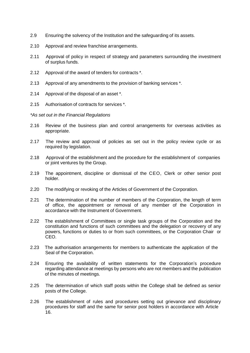- 2.9 Ensuring the solvency of the Institution and the safeguarding of its assets.
- 2.10 Approval and review franchise arrangements.
- 2.11 Approval of policy in respect of strategy and parameters surrounding the investment of surplus funds.
- 2.12 Approval of the award of tenders for contracts \*.
- 2.13 Approval of any amendments to the provision of banking services \*.
- 2.14 Approval of the disposal of an asset \*.
- 2.15 Authorisation of contracts for services \*.

*\*As set out in the Financial Regulations*

- 2.16 Review of the business plan and control arrangements for overseas activities as appropriate.
- 2.17 The review and approval of policies as set out in the policy review cycle or as required by legislation.
- 2.18 Approval of the establishment and the procedure for the establishment of companies or joint ventures by the Group.
- 2.19 The appointment, discipline or dismissal of the CEO, Clerk or other senior post holder.
- 2.20 The modifying or revoking of the Articles of Government of the Corporation.
- 2.21 The determination of the number of members of the Corporation, the length of term of office, the appointment or removal of any member of the Corporation in accordance with the Instrument of Government.
- 2.22 The establishment of Committees or single task groups of the Corporation and the constitution and functions of such committees and the delegation or recovery of any powers, functions or duties to or from such committees, or the Corporation Chair or CEO.
- 2.23 The authorisation arrangements for members to authenticate the application of the Seal of the Corporation.
- 2.24 Ensuring the availability of written statements for the Corporation's procedure regarding attendance at meetings by persons who are not members and the publication of the minutes of meetings.
- 2.25 The determination of which staff posts within the College shall be defined as senior posts of the College.
- 2.26 The establishment of rules and procedures setting out grievance and disciplinary procedures for staff and the same for senior post holders in accordance with Article 16.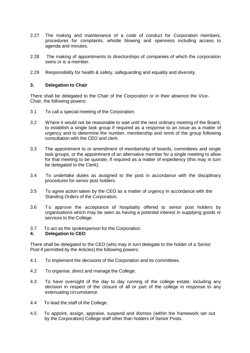- 2.27 The making and maintenance of a code of conduct for Corporation members, procedures for complaints, whistle blowing and openness including access to agenda and minutes.
- 2.28 The making of appointments to directorships of companies of which the corporation owns or is a member.
- 2.29 Responsibility for health & safety, safeguarding and equality and diversity.

#### **3. Delegation to Chair**

There shall be delegated to the Chair of the Corporation or in their absence the Vice-Chair, the following powers:

- 3.1 To call a special meeting of the Corporation.
- 3.2 Where it would not be reasonable to wait until the next ordinary meeting of the Board, to establish a single task group if required as a response to an issue as a matter of urgency and to determine the number, membership and remit of the group following consultation with the CEO and clerk.
- 3.3 The appointment to or amendment of membership of boards, committees and single task groups, or the appointment of an alternative member for a single meeting to allow for that meeting to be quorate, if required as a matter of expediency (this may in turn be delegated to the Clerk).
- 3.4 To undertake duties as assigned to the post in accordance with the disciplinary procedures for senior post holders.
- 3.5 To agree action taken by the CEO as a matter of urgency in accordance with the Standing Orders of the Corporation.
- 3.6 To approve the acceptance of hospitality offered to senior post holders by organisations which may be seen as having a potential interest in supplying goods or services to the College.
- 3.7 To act as the spokesperson for the Corporation.

#### **4. Delegation to CEO**

There shall be delegated to the CEO (who may in turn delegate to the holder of a Senior Post if permitted by the Articles) the following powers:

- 4.1 To implement the decisions of the Corporation and its committees.
- 4.2 To organise, direct and manage the College.
- 4.3 To have oversight of the day to day running of the college estate, including any decision in respect of the closure of all or part of the college in response to any extenuating circumstance.
- 4.4 To lead the staff of the College.
- 4.5 To appoint, assign, appraise, suspend and dismiss (within the framework set out by the Corporation) College staff other than holders of Senior Posts.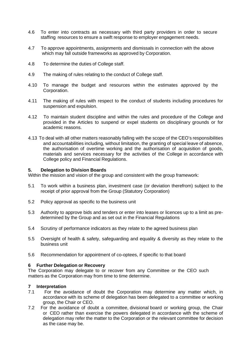- 4.6 To enter into contracts as necessary with third party providers in order to secure staffing resources to ensure a swift response to employer engagement needs.
- 4.7 To approve appointments, assignments and dismissals in connection with the above which may fall outside frameworks as approved by Corporation.
- 4.8 To determine the duties of College staff.
- 4.9 The making of rules relating to the conduct of College staff.
- 4.10 To manage the budget and resources within the estimates approved by the Corporation.
- 4.11 The making of rules with respect to the conduct of students including procedures for suspension and expulsion.
- 4.12 To maintain student discipline and within the rules and procedure of the College and provided in the Articles to suspend or expel students on disciplinary grounds or for academic reasons.
- 4.13 To deal with all other matters reasonably falling with the scope of the CEO's responsibilities and accountabilities including, without limitation, the granting of special leave of absence, the authorisation of overtime working and the authorisation of acquisition of goods, materials and services necessary for the activities of the College in accordance with College policy and Financial Regulations.

#### **5. Delegation to Division Boards**

Within the mission and vision of the group and consistent with the group framework:

- 5.1 To work within a business plan, investment case (or deviation therefrom) subject to the receipt of prior approval from the Group (Statutory Corporation)
- 5.2 Policy approval as specific to the business unit
- 5.3 Authority to approve bids and tenders or enter into leases or licences up to a limit as predetermined by the Group and as set out in the Financial Regulations
- 5.4 Scrutiny of performance indicators as they relate to the agreed business plan
- 5.5 Oversight of health & safety, safeguarding and equality & diversity as they relate to the business unit
- 5.6 Recommendation for appointment of co-optees, if specific to that board

#### **6 Further Delegation or Recovery**

The Corporation may delegate to or recover from any Committee or the CEO such matters as the Corporation may from time to time determine.

# **7 Interpretation**

- For the avoidance of doubt the Corporation may determine any matter which, in accordance with its scheme of delegation has been delegated to a committee or working group, the Chair or CEO.
- 7.2 For the avoidance of doubt a committee, divisional board or working group, the Chair or CEO rather than exercise the powers delegated in accordance with the scheme of delegation may refer the matter to the Corporation or the relevant committee for decision as the case may be.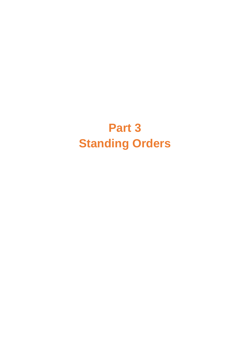# **Part 3 Standing Orders**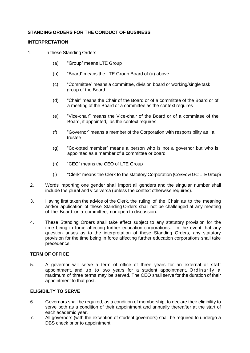# **STANDING ORDERS FOR THE CONDUCT OF BUSINESS**

#### **INTERPRETATION**

1. In these Standing Orders :

- (a) "Group" means LTE Group
- (b) "Board" means the LTE Group Board of (a) above
- (c) "Committee" means a committee, division board or working/single task group of the Board
- (d) "Chair" means the Chair of the Board or of a committee of the Board or of a meeting of the Board or a committee as the context requires
- (e) "Vice-chair" means the Vice-chair of the Board or of a committee of the Board, if appointed, as the context requires
- (f) "Governor" means a member of the Corporation with responsibility as a trustee
- (g) "Co-opted member" means a person who is not a governor but who is appointed as a member of a committee or board
- (h) "CEO" means the CEO of LTE Group
- (i) "Clerk" means the Clerk to the statutory Corporation (CoSEc & GC LTE Group)
- 2. Words importing one gender shall import all genders and the singular number shall include the plural and vice versa (unless the context otherwise requires).
- 3. Having first taken the advice of the Clerk, the ruling of the Chair as to the meaning and/or application of these Standing Orders shall not be challenged at any meeting of the Board or a committee, nor open to discussion.
- 4. These Standing Orders shall take effect subject to any statutory provision for the time being in force affecting further education corporations. In the event that any question arises as to the interpretation of these Standing Orders, any statutory provision for the time being in force affecting further education corporations shall take precedence.

#### **TERM OF OFFICE**

5. A governor will serve a term of office of three years for an external or staff appointment, and up to two years for a student appointment. Ordinarily a maximum of three terms may be served. The CEO shall serve for the duration of their appointment to that post.

# **ELIGIBILTY TO SERVE**

- 6. Governors shall be required, as a condition of membership, to declare their eligibility to serve both as a condition of their appointment and annually thereafter at the start of each academic year.
- 7. All governors (with the exception of student governors) shall be required to undergo a DBS check prior to appointment.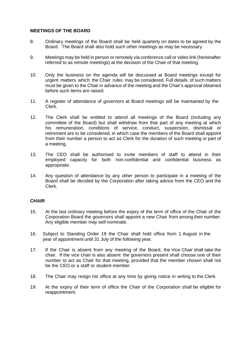#### **MEETINGS OF THE BOARD**

- 8. Ordinary meetings of the Board shall be held quarterly on dates to be agreed by the Board. The Board shall also hold such other meetings as may be necessary.
- 9. Meetings may be held in person or remotely via conference call or video link (hereinafter referred to as remote meetings) at the decision of the Chair of that meeting.
- 10. Only the business on the agenda will be discussed at Board meetings except for urgent matters which the Chair rules may be considered. Full details of such matters must be given to the Chair in advance of the meeting and the Chair's approval obtained before such items are raised.
- 11. A register of attendance of governors at Board meetings will be maintained by the Clerk.
- 12. The Clerk shall be entitled to attend all meetings of the Board (including any committee of the Board) but shall withdraw from that part of any meeting at which his remuneration, conditions of service, conduct, suspension, dismissal or retirement are to be considered, in which case the members of the Board shall appoint from their number a person to act as Clerk for the duration of such meeting or part of a meeting.
- 13. The CEO shall be authorised to invite members of staff to attend in their employed capacity for both non-confidential and confidential business as appropriate.
- 14. Any question of attendance by any other person to participate in a meeting of the Board shall be decided by the Corporation after taking advice from the CEO and the Clerk.

#### **CHAIR**

- 15. At the last ordinary meeting before the expiry of the term of office of the Chair of the Corporation Board the governors shall appoint a new Chair from among their number. Any eligible member may self-nominate.
- 16. Subject to Standing Order 19 the Chair shall hold office from 1 August in the year of appointment until 31 July of the following year.
- 17. If the Chair is absent from any meeting of the Board, the Vice Chair shall take the chair. If the vice chair is also absent the governors present shall choose one of their number to act as Chair for that meeting, provided that the member chosen shall not be the CEO or a staff or student member.
- 18. The Chair may resign his office at any time by giving notice in writing to the Clerk.
- 19. At the expiry of their term of office the Chair of the Corporation shall be eligible for reappointment.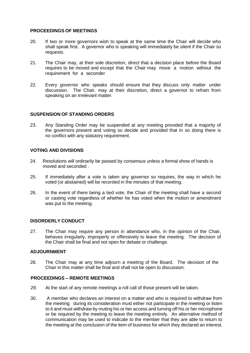#### **PROCEEDINGS OF MEETINGS**

- 20. If two or more governors wish to speak at the same time the Chair will decide who shall speak first. A governor who is speaking will immediately be silent if the Chair so requests.
- 21. The Chair may, at their sole discretion, direct that a decision place before the Board requires to be moved and except that the Chair may move a motion without the requirement for a seconder
- 22. Every governor who speaks should ensure that they discuss only matter under discussion. The Chair, may at their discretion, direct a governor to refrain from speaking on an irrelevant matter.

#### **SUSPENSION OF STANDING ORDERS**

23. Any Standing Order may be suspended at any meeting provided that a majority of the governors present and voting so decide and provided that in so doing there is no conflict with any statutory requirement.

#### **VOTING AND DIVISIONS**

- 24. Resolutions will ordinarily be passed by consensus unless a formal show of hands is moved and seconded .
- 25. If immediately after a vote is taken any governor so requires, the way in which he voted (or abstained) will be recorded in the minutes of that meeting.
- 26. In the event of there being a tied vote, the Chair of the meeting shall have a second or casting vote regardless of whether he has voted when the motion or amendment was put to the meeting.

#### **DISORDERLY CONDUCT**

27. The Chair may require any person in attendance who, in the opinion of the Chair, behaves irregularly, improperly or offensively to leave the meeting. The decision of the Chair shall be final and not open for debate or challenge.

#### **ADJOURNMENT**

28. The Chair may at any time adjourn a meeting of the Board. The decision of the Chair in this matter shall be final and shall not be open to discussion.

# **PROCEEDINGS – REMOTE MEETINGS**

- 29. At the start of any remote meetings a roll call of those present will be taken.
- 30. A member who declares an interest on a matter and who is required to withdraw from the meeting during its consideration must either not participate in the meeting or listen to it and must withdraw by muting his or her access and turning off his or her microphone or be required by the meeting to leave the meeting entirely. An alternative method of communication may be used to indicate to the member that they are able to return to the meeting at the conclusion of the item of business for which they declared an interest.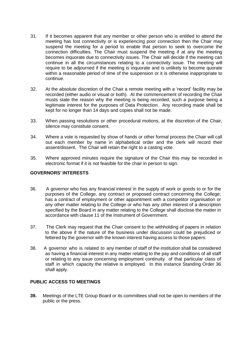- 31. If it becomes apparent that any member or other person who is entitled to attend the meeting has lost connectivity or is experiencing poor connection then the Chair may suspend the meeting for a period to enable that person to seek to overcome the connection difficulties. The Chair must suspend the meeting if at any the meeting becomes inquorate due to connectivity issues. The Chair will decide if the meeting can continue in all the circumstances relating to a connectivity issue. The meeting will require to be adjourned if the meeting is inquorate and is unlikely to become quorate within a reasonable period of time of the suspension or it is otherwise inappropriate to continue.
- 32. At the absolute discretion of the Chair a remote meeting with a 'record' facility may be recorded (either audio or visual or both). At the commencement of recording the Chair musts state the reason why the meeting is being recorded, such a purpose being a legitimate interest for the purposes of Data Protection. Any recording made shall be kept for no longer than 14 days and copies shall not be made.
- 33. When passing resolutions or other procedural motions, at the discretion of the Chair, silence may constitute consent.
- 34. Where a vote is requested by show of hands or other formal process the Chair will call out each member by name in alphabetical order and the clerk will record their assent/dissent. The Chair will retain the right to a casting vote.
- 35. Where approved minutes require the signature of the Chair this may be recorded in electronic format if it is not feasible for the chair in person to sign.

#### **GOVERNORS' INTERESTS**

- 36. A governor who has any financial interest in the supply of work or goods to or for the purposes of the College, any contract or proposed contract concerning the College; has a contract of employment or other appointment with a competitor organisation or any other matter relating to the College or who has any other interest of a description specified by the Board in any matter relating to the College shall disclose the matter in accordance with clause 11 of the Instrument of Government.
- 37. The Clerk may request that the Chair consent to the withholding of papers in relation to the above if the nature of the business under discussion could be prejudiced or fettered by the governor with the known interest having access to those papers.
- 38. A governor who is related to any member of staff of the institution shall be considered as having a financial interest in any matter relating to the pay and conditions of all staff or relating to any issue concerning employment continuity of that particular class of staff in which capacity the relative is employed. In this instance Standing Order 36 shall apply.

#### **PUBLIC ACCESS TO MEETINGS**

**39.** Meetings of the LTE Group Board or its committees shall not be open to members of the public or the press.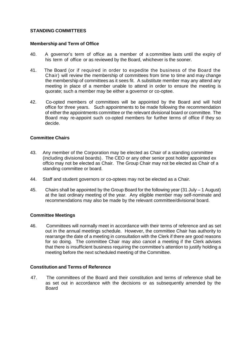#### **STANDING COMMITTEES**

#### **Membership and Term of Office**

- 40. A governor's term of office as a member of a committee lasts until the expiry of his term of office or as reviewed by the Board, whichever is the sooner.
- 41. The Board (or if required in order to expedite the business of the Board the Chair) will review the membership of committees from time to time and may change the membership of committees as it sees fit. A substitute member may any attend any meeting in place of a member unable to attend in order to ensure the meeting is quorate; such a member may be either a governor or co-optee.
- 42. Co-opted members of committees will be appointed by the Board and will hold office for three years. Such appointments to be made following the recommendation of either the appointments committee or the relevant divisional board or committee*.* The Board may re-appoint such co-opted members for further terms of office if they so decide.

#### **Committee Chairs**

- 43. Any member of the Corporation may be elected as Chair of a standing committee (including divisional boards). The CEO or any other senior post holder appointed ex offcio may not be elected as Chair. The Group Chair may not be elected as Chair of a standing committee or board.
- 44. Staff and student governors or co-optees may not be elected as a Chair.
- 45. Chairs shall be appointed by the Group Board for the following year (31 July 1 August) at the last ordinary meeting of the year. Any eligible member may self-nominate and recommendations may also be made by the relevant committee/divisional board.

#### **Committee Meetings**

46. Committees will normally meet in accordance with their terms of reference and as set out in the annual meetings schedule. However, the committee Chair has authority to rearrange the date of a meeting in consultation with the Clerk if there are good reasons for so doing. The committee Chair may also cancel a meeting if the Clerk advises that there is insufficient business requiring the committee's attention to justify holding a meeting before the next scheduled meeting of the Committee.

#### **Constitution and Terms of Reference**

47. The committees of the Board and their constitution and terms of reference shall be as set out in accordance with the decisions or as subsequently amended by the **Board**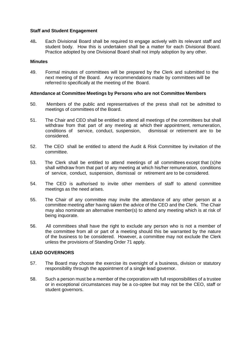#### **Staff and Student Engagement**

48**.** Each Divisional Board shall be required to engage actively with its relevant staff and student body. How this is undertaken shall be a matter for each Divisional Board. Practice adopted by one Divisional Board shall not imply adoption by any other.

#### **Minutes**

49. Formal minutes of committees will be prepared by the Clerk and submitted to the next meeting of the Board. Any recommendations made by committees will be referred to specifically at the meeting of the Board.

#### **Attendance at Committee Meetings by Persons who are not Committee Members**

- 50. Members of the public and representatives of the press shall not be admitted to meetings of committees of the Board.
- 51. The Chair and CEO shall be entitled to attend all meetings of the committees but shall withdraw from that part of any meeting at which their appointment, remuneration, conditions of service, conduct, suspension, dismissal or retirement are to be considered.
- 52. The CEO shall be entitled to attend the Audit & Risk Committee by invitation of the committee.
- 53. The Clerk shall be entitled to attend meetings of all committees except that (s)he shall withdraw from that part of any meeting at which his/her remuneration, conditions of service, conduct, suspension, dismissal or retirement are to be considered.
- 54. The CEO is authorised to invite other members of staff to attend committee meetings as the need arises.
- 55. The Chair of any committee may invite the attendance of any other person at a committee meeting after having taken the advice of the CEO and the Clerk. The Chair may also nominate an alternative member(s) to attend any meeting which is at risk of being inquorate.
- 56. All committees shall have the right to exclude any person who is not a member of the committee from all or part of a meeting should this be warranted by the nature of the business to be considered. However, a committee may not exclude the Clerk unless the provisions of Standing Order 71 apply.

#### **LEAD GOVERNORS**

- 57. The Board may choose the exercise its oversight of a business, division or statutory responsibility through the appointment of a single lead governor.
- 58. Such a person must be a member of the corporation with full responsibilities of a trustee or in exceptional circumstances may be a co-optee but may not be the CEO, staff or student governors.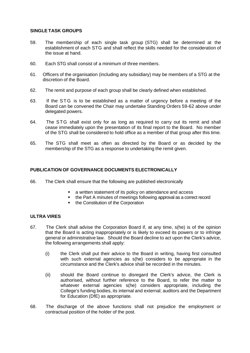#### **SINGLE TASK GROUPS**

- 59. The membership of each single task group (STG) shall be determined at the establishment of each STG and shall reflect the skills needed for the consideration of the issue at hand.
- 60. Each STG shall consist of a minimum of three members.
- 61. Officers of the organisation (including any subsidiary) may be members of a STG at the discretion of the Board.
- 62. The remit and purpose of each group shall be clearly defined when established.
- 63. If the ST G is to be established as a matter of urgency before a meeting of the Board can be convened the Chair may undertake Standing Orders 59-62 above under delegated powers.
- 64. The STG shall exist only for as long as required to carry out its remit and shall cease immediately upon the presentation of its final report to the Board. No member of the STG shall be considered to hold office as a member of that group after this time.
- 65. The STG shall meet as often as directed by the Board or as decided by the membership of the STG as a response to undertaking the remit given.

# **PUBLICATION OF GOVERNANCE DOCUMENTS ELECTRONICALLY**

- 66. The Clerk shall ensure that the following are published electronically
	- a written statement of its policy on attendance and access
	- the Part A minutes of meetings following approval as a correct record
	- the Constitution of the Corporation

#### **ULTRA VIRES**

- 67. The Clerk shall advise the Corporation Board if, at any time, s(he) is of the opinion that the Board is acting inappropriately or is likely to exceed its powers or to infringe general or administrative law. Should the Board decline to act upon the Clerk's advice, the following arrangements shall apply:
	- (i) the Clerk shall put their advice to the Board in writing, having first consulted with such external agencies as s(he) considers to be appropriate in the circumstance and the Clerk's advice shall be recorded in the minutes.
	- (ii) should the Board continue to disregard the Clerk's advice, the Clerk is authorised, without further reference to the Board, to refer the matter to whatever external agencies s(he) considers appropriate, including the College's funding bodies, its internal and external; auditors and the Department for Education (DfE) as appropriate.
- 68. The discharge of the above functions shall not prejudice the employment or contractual position of the holder of the post.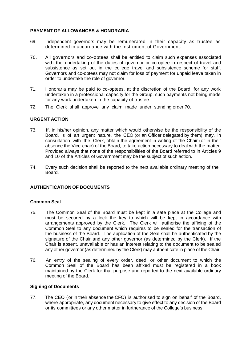#### **PAYMENT OF ALLOWANCES & HONORARIA**

- 69. Independent governors may be remunerated in their capacity as trustee as determined in accordance with the Instrument of Government.
- 70. All governors and co-optees shall be entitled to claim such expenses associated with the undertaking of the duties of governor or co-optee in respect of travel and subsistence as set out in the college travel and subsistence scheme for staff. Governors and co-optees may not claim for loss of payment for unpaid leave taken in order to undertake the role of governor.
- 71. Honoraria may be paid to co-optees, at the discretion of the Board, for any work undertaken in a professional capacity for the Group, such payments not being made for any work undertaken in the capacity of trustee.
- 72. The Clerk shall approve any claim made under standing order 70.

#### **URGENT ACTION**

- 73. If, in his/her opinion, any matter which would otherwise be the responsibility of the Board, is of an urgent nature, the CEO (or an Officer delegated by them) may, in consultation with the Clerk, obtain the agreement in writing of the Chair (or in their absence the Vice-chair) of the Board, to take action necessary to deal with the matter. Provided always that none of the responsibilities of the Board referred to in Articles 9 and 10 of the Articles of Government may be the subject of such action.
- 74. Every such decision shall be reported to the next available ordinary meeting of the Board.

#### **AUTHENTICATION OF DOCUMENTS**

#### **Common Seal**

- 75. The Common Seal of the Board must be kept in a safe place at the College and must be secured by a lock the key to which will be kept in accordance with arrangements approved by the Clerk. The Clerk will authorise the affixing of the Common Seal to any document which requires to be sealed for the transaction of the business of the Board. The application of the Seal shall be authenticated by the signature of the Chair and any other governor (as determined by the Clerk). If the Chair is absent, unavailable or has an interest relating to the document to be sealed any other governor (as determined by the Clerk) may authenticate in place of the Chair.
- 76. An entry of the sealing of every order, deed, or other document to which the Common Seal of the Board has been affixed must be registered in a book maintained by the Clerk for that purpose and reported to the next available ordinary meeting of the Board.

#### **Signing of Documents**

77. The CEO (or in their absence the CFO) is authorised to sign on behalf of the Board, where appropriate, any document necessary to give effect to any decision of the Board or its committees or any other matter in furtherance of the College's business.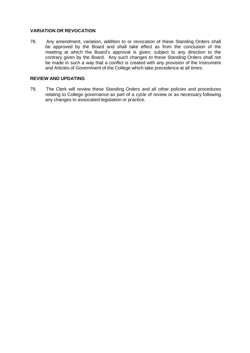#### **VARIATION OR REVOCATION**

78. Any amendment, variation, addition to or revocation of these Standing Orders shall be approved by the Board and shall take effect as from the conclusion of the meeting at which the Board's approval is given, subject to any direction to the contrary given by the Board. Any such changes to these Standing Orders shall not be made in such a way that a conflict is created with any provision of the Instrument and Articles of Government of the College which take precedence at all times.

#### **REVIEW AND UPDATING**

79. The Clerk will review these Standing Orders and all other policies and procedures relating to College governance as part of a cycle of review or as necessary following any changes to associated legislation or practice.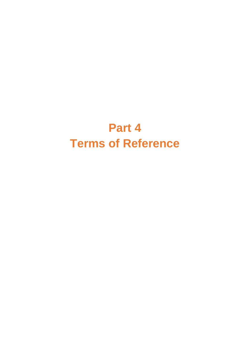# **Part 4 Terms of Reference**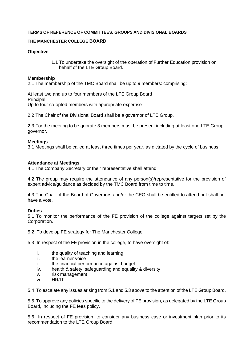#### **TERMS OF REFERENCE OF COMMITTEES, GROUPS AND DIVISIONAL BOARDS**

#### **THE MANCHESTER COLLEGE BOARD**

#### **Objective**

1.1 To undertake the oversight of the operation of Further Education provision on behalf of the LTE Group Board.

#### **Membership**

2.1 The membership of the TMC Board shall be up to 9 members: comprising:

At least two and up to four members of the LTE Group Board **Principal** Up to four co-opted members with appropriate expertise

2.2 The Chair of the Divisional Board shall be a governor of LTE Group.

2.3 For the meeting to be quorate 3 members must be present including at least one LTE Group governor.

#### **Meetings**

3.1 Meetings shall be called at least three times per year, as dictated by the cycle of business.

#### **Attendance at Meetings**

4.1 The Company Secretary or their representative shall attend.

4.2 The group may require the attendance of any person(s)/representative for the provision of expert advice/guidance as decided by the TMC Board from time to time.

4.3 The Chair of the Board of Governors and/or the CEO shall be entitled to attend but shall not have a vote.

#### **Duties**

5.1 To monitor the performance of the FE provision of the college against targets set by the Corporation.

5.2 To develop FE strategy for The Manchester College

5.3 In respect of the FE provision in the college, to have oversight of:

- i. the quality of teaching and learning
- ii. the learner voice
- iii. the financial performance against budget
- iv. health & safety, safeguarding and equality & diversity
- v. risk management
- vi. HR/IT

5.4 To escalate any issues arising from 5.1 and 5.3 above to the attention of the LTE Group Board.

5.5 To approve any policies specific to the delivery of FE provision, as delegated by the LTE Group Board, including the FE fees policy.

5.6 In respect of FE provision, to consider any business case or investment plan prior to its recommendation to the LTE Group Board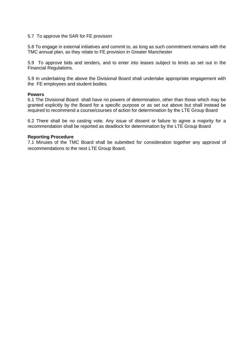#### 5.7 To approve the SAR for FE provision

5.8 To engage in external initiatives and commit to, as long as such commitment remains with the TMC annual plan, as they relate to FE provision in Greater Manchester

5.9 To approve bids and tenders, and to enter into leases subject to limits as set out in the Financial Regulations.

5.9 In undertaking the above the Divisional Board shall undertake appropriate engagement with the FE employees and student bodies.

#### **Powers**

6.1 The Divisional Board shall have no powers of determination, other than those which may be granted explicitly by the Board for a specific purpose or as set out above but shall instead be required to recommend a course/courses of action for determination by the LTE Group Board

6.2 There shall be no casting vote. Any issue of dissent or failure to agree a majority for a recommendation shall be reported as deadlock for determination by the LTE Group Board

#### **Reporting Procedure**

7.1 Minutes of the TMC Board shall be submitted for consideration together any approval of recommendations to the next LTE Group Board.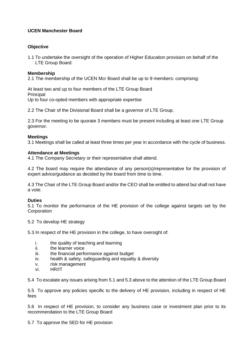# **UCEN Manchester Board**

# **Objective**

1.1 To undertake the oversight of the operation of Higher Education provision on behalf of the LTE Group Board.

# **Membership**

2.1 The membership of the UCEN Mcr Board shall be up to 9 members: comprising:

At least two and up to four members of the LTE Group Board Principal Up to four co-opted members with appropriate expertise

2.2 The Chair of the Divisional Board shall be a governor of LTE Group.

2.3 For the meeting to be quorate 3 members must be present including at least one LTE Group governor.

#### **Meetings**

3.1 Meetings shall be called at least three times per year in accordance with the cycle of business.

#### **Attendance at Meetings**

4.1 The Company Secretary or their representative shall attend.

4.2 The board may require the attendance of any person(s)/representative for the provision of expert advice/guidance as decided by the board from time to time.

4.3 The Chair of the LTE Group Board and/or the CEO shall be entitled to attend but shall not have a vote.

#### **Duties**

5.1 To monitor the performance of the HE provision of the college against targets set by the **Corporation** 

5.2 To develop HE strategy

5.3 In respect of the HE provision in the college, to have oversight of:

- i. the quality of teaching and learning
- ii. the learner voice
- iii. the financial performance against budget
- iv. health & safety, safeguarding and equality & diversity
- v. risk management
- vi. HR/IT

5.4 To escalate any issues arising from 5.1 and 5.3 above to the attention of the LTE Group Board

5.5 To approve any policies specific to the delivery of HE provision, including in respect of HE fees

5.6 In respect of HE provision, to consider any business case or investment plan prior to its recommendation to the LTE Group Board

5.7 To approve the SED for HE provision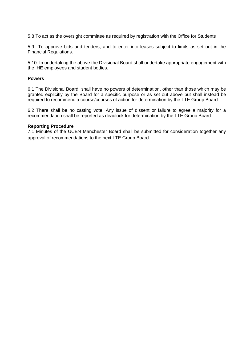5.8 To act as the oversight committee as required by registration with the Office for Students

5.9 To approve bids and tenders, and to enter into leases subject to limits as set out in the Financial Regulations.

5.10 In undertaking the above the Divisional Board shall undertake appropriate engagement with the HE employees and student bodies.

#### **Powers**

6.1 The Divisional Board shall have no powers of determination, other than those which may be granted explicitly by the Board for a specific purpose or as set out above but shall instead be required to recommend a course/courses of action for determination by the LTE Group Board

6.2 There shall be no casting vote. Any issue of dissent or failure to agree a majority for a recommendation shall be reported as deadlock for determination by the LTE Group Board

#### **Reporting Procedure**

7.1 Minutes of the UCEN Manchester Board shall be submitted for consideration together any approval of recommendations to the next LTE Group Board. .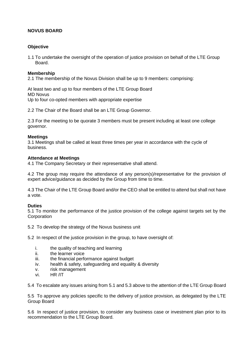# **NOVUS BOARD**

# **Objective**

1.1 To undertake the oversight of the operation of justice provision on behalf of the LTE Group Board.

#### **Membership**

2.1 The membership of the Novus Division shall be up to 9 members: comprising:

At least two and up to four members of the LTE Group Board MD Novus Up to four co-opted members with appropriate expertise

2.2 The Chair of the Board shall be an LTE Group Governor.

2.3 For the meeting to be quorate 3 members must be present including at least one college governor.

#### **Meetings**

3.1 Meetings shall be called at least three times per year in accordance with the cycle of business.

#### **Attendance at Meetings**

4.1 The Company Secretary or their representative shall attend.

4.2 The group may require the attendance of any person(s)/representative for the provision of expert advice/guidance as decided by the Group from time to time.

4.3 The Chair of the LTE Group Board and/or the CEO shall be entitled to attend but shall not have a vote.

#### **Duties**

5.1 To monitor the performance of the justice provision of the college against targets set by the **Corporation** 

5.2 To develop the strategy of the Novus business unit

5.2 In respect of the justice provision in the group, to have oversight of:

- i. the quality of teaching and learning
- ii. the learner voice
- iii. the financial performance against budget
- iv. health & safety, safeguarding and equality & diversity
- v. risk management
- vi. HR /IT

5.4 To escalate any issues arising from 5.1 and 5.3 above to the attention of the LTE Group Board

5.5 To approve any policies specific to the delivery of justice provision, as delegated by the LTE Group Board

5.6 In respect of justice provision, to consider any business case or investment plan prior to its recommendation to the LTE Group Board.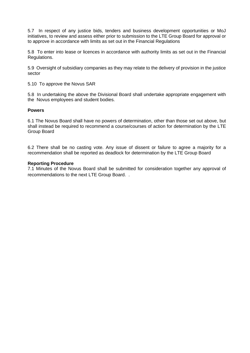5.7 In respect of any justice bids, tenders and business development opportunities or MoJ initiatives, to review and assess either prior to submission to the LTE Group Board for approval or to approve in accordance with limits as set out in the Financial Regulations

5.8 To enter into lease or licences in accordance with authority limits as set out in the Financial Regulations.

5.9 Oversight of subsidiary companies as they may relate to the delivery of provision in the justice sector

5.10 To approve the Novus SAR

5.8 In undertaking the above the Divisional Board shall undertake appropriate engagement with the Novus employees and student bodies.

#### **Powers**

6.1 The Novus Board shall have no powers of determination, other than those set out above, but shall instead be required to recommend a course/courses of action for determination by the LTE Group Board

6.2 There shall be no casting vote. Any issue of dissent or failure to agree a majority for a recommendation shall be reported as deadlock for determination by the LTE Group Board

#### **Reporting Procedure**

7.1 Minutes of the Novus Board shall be submitted for consideration together any approval of recommendations to the next LTE Group Board. .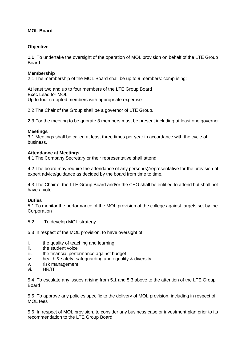# **MOL Board**

# **Objective**

**1.1** To undertake the oversight of the operation of MOL provision on behalf of the LTE Group Board.

# **Membership**

2.1 The membership of the MOL Board shall be up to 9 members: comprising:

At least two and up to four members of the LTE Group Board Exec Lead for MOL Up to four co-opted members with appropriate expertise

2.2 The Chair of the Group shall be a governor of LTE Group.

2.3 For the meeting to be quorate 3 members must be present including at least one governor**.**

#### **Meetings**

3.1 Meetings shall be called at least three times per year in accordance with the cycle of business.

#### **Attendance at Meetings**

4.1 The Company Secretary or their representative shall attend.

4.2 The board may require the attendance of any person(s)/representative for the provision of expert advice/guidance as decided by the board from time to time.

4.3 The Chair of the LTE Group Board and/or the CEO shall be entitled to attend but shall not have a vote.

#### **Duties**

5.1 To monitor the performance of the MOL provision of the college against targets set by the **Corporation** 

5.2 To develop MOL strategy

5.3 In respect of the MOL provision, to have oversight of:

- i. the quality of teaching and learning
- ii. the student voice
- iii. the financial performance against budget
- iv. health & safety, safeguarding and equality & diversity
- v. risk management
- vi. HR/IT

5.4 To escalate any issues arising from 5.1 and 5.3 above to the attention of the LTE Group Board

5.5 To approve any policies specific to the delivery of MOL provision, including in respect of MOL fees

5.6 In respect of MOL provision, to consider any business case or investment plan prior to its recommendation to the LTE Group Board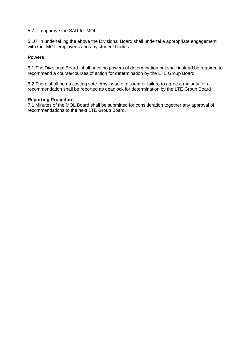5.7 To approve the SAR for MOL

5.10 In undertaking the above the Divisional Board shall undertake appropriate engagement with the MOL employees and any student bodies.

# **Powers**

6.1 The Divisional Board shall have no powers of determination but shall instead be required to recommend a course/courses of action for determination by the LTE Group Board

6.2 There shall be no casting vote. Any issue of dissent or failure to agree a majority for a recommendation shall be reported as deadlock for determination by the LTE Group Board

#### **Reporting Procedure**

7.1 Minutes of the MOL Board shall be submitted for consideration together any approval of recommendations to the next LTE Group Board.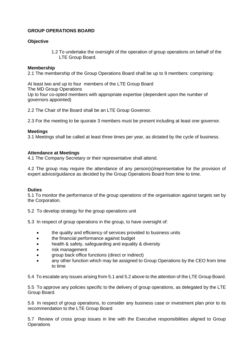# **GROUP OPERATIONS BOARD**

# **Objective**

1.2 To undertake the oversight of the operation of group operations on behalf of the LTE Group Board.

#### **Membership**

2.1 The membership of the Group Operations Board shall be up to 9 members: comprising:

At least two and up to four members of the LTE Group Board The MD Group Operations Up to four co-opted members with appropriate expertise (dependent upon the number of governors appointed)

2.2 The Chair of the Board shall be an LTE Group Governor.

2.3 For the meeting to be quorate 3 members must be present including at least one governor.

#### **Meetings**

3.1 Meetings shall be called at least three times per year, as dictated by the cycle of business.

#### **Attendance at Meetings**

4.1 The Company Secretary or their representative shall attend.

4.2 The group may require the attendance of any person(s)/representative for the provision of expert advice/guidance as decided by the Group Operations Board from time to time.

#### **Duties**

5.1 To monitor the performance of the group operations of the organisation against targets set by the Corporation.

5.2 To develop strategy for the group operations unit

5.3 In respect of group operations in the group, to have oversight of:

- the quality and efficiency of services provided to business units
- the financial performance against budget
- health & safety, safeguarding and equality & diversity
- risk management
- group back office functions (direct or indirect)
- any other function which may be assigned to Group Operations by the CEO from time to time

5.4 To escalate any issues arising from 5.1 and 5.2 above to the attention of the LTE Group Board.

5.5 To approve any policies specific to the delivery of group operations, as delegated by the LTE Group Board.

5.6 In respect of group operations, to consider any business case or investment plan prior to its recommendation to the LTE Group Board

5.7 Review of cross group issues in line with the Executive responsibilities aligned to Group **Operations**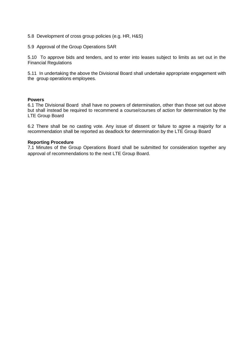- 5.8 Development of cross group policies (e.g. HR, H&S)
- 5.9 Approval of the Group Operations SAR

5.10 To approve bids and tenders, and to enter into leases subject to limits as set out in the Financial Regulations

5.11 In undertaking the above the Divisional Board shall undertake appropriate engagement with the group operations employees.

#### **Powers**

6.1 The Divisional Board shall have no powers of determination, other than those set out above but shall instead be required to recommend a course/courses of action for determination by the LTE Group Board

6.2 There shall be no casting vote. Any issue of dissent or failure to agree a majority for a recommendation shall be reported as deadlock for determination by the LTE Group Board

#### **Reporting Procedure**

7.1 Minutes of the Group Operations Board shall be submitted for consideration together any approval of recommendations to the next LTE Group Board.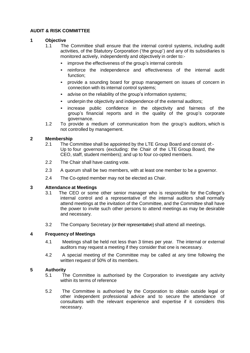## **AUDIT & RISK COMMITTEE**

#### **1 Objective**

- 1.1 The Committee shall ensure that the internal control systems, including audit activities, of the Statutory Corporation ('the group') and any of its subsidiaries is monitored actively, independently and objectively in order to:-
	- improve the effectiveness of the group's internal controls
	- reinforce the independence and effectiveness of the internal audit function;
	- provide a sounding board for group management on issues of concern in connection with its internal control systems;
	- advise on the reliability of the group's information systems;
	- underpin the objectivity and independence of the external auditors;
	- increase public confidence in the objectivity and fairness of the group's financial reports and in the quality of the group's corporate governance.
- 1.2 To provide a medium of communication from the group's auditors, which is not controlled by management.

# **2 Membership**

- 2.1 The Committee shall be appointed by the LTE Group Board and consist of:- Up to four governors (excluding: the Chair of the LTE Group Board, the CEO, staff, student members); and up to four co-opted members.
- 2.2 The Chair shall have casting vote.
- 2.3 A quorum shall be two members, with at least one member to be a governor.
- 2.4 The Co-opted member may not be elected as Chair.

#### **3 Attendance at Meetings**

- 3.1 The CEO or some other senior manager who is responsible for the College's internal control and a representative of the internal auditors shall normally attend meetings at the invitation of the Committee, and the Committee shall have the power to invite such other persons to attend meetings as may be desirable and necessary.
- 3.2 The Company Secretary (or their representative) shall attend all meetings.

#### **4 Frequency of Meetings**

- 4.1 Meetings shall be held not less than 3 times per year. The internal or external auditors may request a meeting if they consider that one is necessary.
- 4.2 A special meeting of the Committee may be called at any time following the written request of 50% of its members.

#### **5 Authority**

- 5.1 The Committee is authorised by the Corporation to investigate any activity within its terms of reference
- 5.2 The Committee is authorised by the Corporation to obtain outside legal or other independent professional advice and to secure the attendance of consultants with the relevant experience and expertise if it considers this necessary.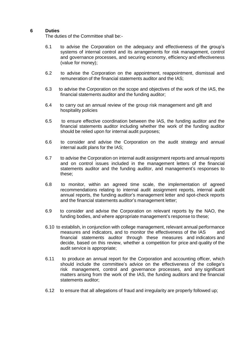#### **6 Duties**

The duties of the Committee shall be:-

- 6.1 to advise the Corporation on the adequacy and effectiveness of the group's systems of internal control and its arrangements for risk management, control and governance processes, and securing economy, efficiency and effectiveness (value for money);
- 6.2 to advise the Corporation on the appointment, reappointment, dismissal and remuneration of the financial statements auditor and the IAS;
- 6.3 to advise the Corporation on the scope and objectives of the work of the IAS, the financial statements auditor and the funding auditor;
- 6.4 to carry out an annual review of the group risk management and gift and hospitality policies
- 6.5 to ensure effective coordination between the IAS, the funding auditor and the financial statements auditor including whether the work of the funding auditor should be relied upon for internal audit purposes;
- 6.6 to consider and advise the Corporation on the audit strategy and annual internal audit plans for the IAS;
- 6.7 to advise the Corporation on internal audit assignment reports and annual reports and on control issues included in the management letters of the financial statements auditor and the funding auditor, and management's responses to these;
- 6.8 to monitor, within an agreed time scale, the implementation of agreed recommendations relating to internal audit assignment reports, internal audit annual reports, the funding auditor's management letter and spot-check reports and the financial statements auditor's management letter;
- 6.9 to consider and advise the Corporation on relevant reports by the NAO, the funding bodies, and where appropriate management's response to these;
- 6.10 to establish, in conjunction with college management, relevant annual performance measures and indicators, and to monitor the effectiveness of the IAS and financial statements auditor through these measures and indicators and decide, based on this review, whether a competition for price and quality of the audit service is appropriate;
- 6.11 to produce an annual report for the Corporation and accounting officer, which should include the committee's advice on the effectiveness of the college's risk management, control and governance processes, and any significant matters arising from the work of the IAS, the funding auditors and the financial statements auditor;
- 6.12 to ensure that all allegations of fraud and irregularity are properly followed up;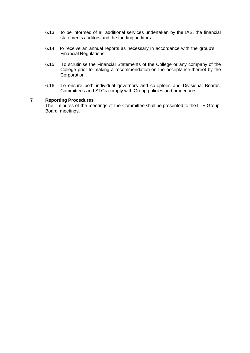- 6.13 to be informed of all additional services undertaken by the IAS, the financial statements auditors and the funding auditors
- 6.14 to receive an annual reports as necessary in accordance with the group's Financial Regulations
- 6.15 To scrutinise the Financial Statements of the College or any company of the College prior to making a recommendation on the acceptance thereof by the **Corporation**
- 6.16 To ensure both individual governors and co-optees and Divisional Boards, Committees and STGs comply with Group policies and procedures.

# **7 Reporting Procedures**

The minutes of the meetings of the Committee shall be presented to the LTE Group Board meetings.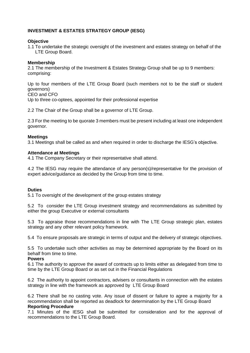# **INVESTMENT & ESTATES STRATEGY GROUP (IESG)**

#### **Objective**

1.1 To undertake the strategic oversight of the investment and estates strategy on behalf of the LTE Group Board.

#### **Membership**

2.1 The membership of the Investment & Estates Strategy Group shall be up to 9 members: comprising:

Up to four members of the LTE Group Board (such members not to be the staff or student governors)

CEO and CFO

Up to three co-optees, appointed for their professional expertise

2.2 The Chair of the Group shall be a governor of LTE Group.

2.3 For the meeting to be quorate 3 members must be present including at least one independent governor.

#### **Meetings**

3.1 Meetings shall be called as and when required in order to discharge the IESG's objective.

#### **Attendance at Meetings**

4.1 The Company Secretary or their representative shall attend.

4.2 The IESG may require the attendance of any person(s)/representative for the provision of expert advice/guidance as decided by the Group from time to time.

#### **Duties**

5.1 To oversight of the development of the group estates strategy

5.2 To consider the LTE Group investment strategy and recommendations as submitted by either the group Executive or external consultants

5.3 To appraise those recommendations in line with The LTE Group strategic plan, estates strategy and any other relevant policy framework.

5.4 To ensure proposals are strategic in terms of output and the delivery of strategic objectives.

5.5 To undertake such other activities as may be determined appropriate by the Board on its behalf from time to time.

#### **Powers**

6.1 The authority to approve the award of contracts up to limits either as delegated from time to time by the LTE Group Board or as set out in the Financial Regulations

6.2 The authority to appoint contractors, advisers or consultants in connection with the estates strategy in line with the framework as approved by LTE Group Board

6.2 There shall be no casting vote. Any issue of dissent or failure to agree a majority for a recommendation shall be reported as deadlock for determination by the LTE Group Board **Reporting Procedure** 

7.1 Minutes of the IESG shall be submitted for consideration and for the approval of recommendations to the LTE Group Board.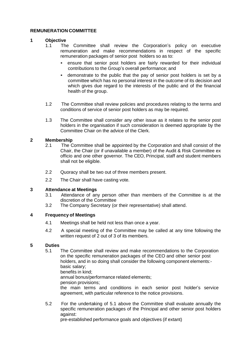#### **REMUNERATION COMMITTEE**

# **1 Objective**

- The Committee shall review the Corporation's policy on executive remuneration and make recommendations in respect of the specific remuneration packages of senior post holders so as to:
	- ensure that senior post holders are fairly rewarded for their individual contributions to the Group's overall performance; and
	- demonstrate to the public that the pay of senior post holders is set by a committee which has no personal interest in the outcome of its decision and which gives due regard to the interests of the public and of the financial health of the group.
- 1.2 The Committee shall review policies and procedures relating to the terms and conditions of service of senior post holders as may be required.
- 1.3 The Committee shall consider any other issue as it relates to the senior post holders in the organisation if such consideration is deemed appropriate by the Committee Chair on the advice of the Clerk.

#### **2 Membership**

- 2.1 The Committee shall be appointed by the Corporation and shall consist of the Chair, the Chair (or if unavailable a member) of the Audit & Risk Committee ex officio and one other governor. The CEO, Principal, staff and student members shall not be eligible.
- 2.2 Quoracy shall be two out of three members present.
- 2.2 The Chair shall have casting vote.

#### **3 Attendance at Meetings**

- 3.1 Attendance of any person other than members of the Committee is at the discretion of the Committee
- 3.2 The Company Secretary (or their representative) shall attend.

# **4 Frequency of Meetings**

- 4.1 Meetings shall be held not less than once a year.
- 4.2 A special meeting of the Committee may be called at any time following the written request of 2 out of 3 of its members.

#### **5 Duties**

5.1 The Committee shall review and make recommendations to the Corporation on the specific remuneration packages of the CEO and other senior post holders, and in so doing shall consider the following component elements: basic salary; benefits in kind;

annual bonus/performance related elements;

pension provisions;

the main terms and conditions in each senior post holder's service agreement, with particular reference to the notice provisions.

5.2 For the undertaking of 5.1 above the Committee shall evaluate annually the specific remuneration packages of the Principal and other senior post holders against:

pre-established performance goals and objectives (if extant)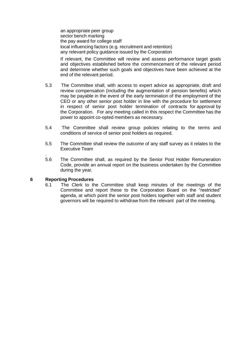an appropriate peer group sector bench marking the pay award for college staff local influencing factors (e.g. recruitment and retention) any relevant policy guidance issued by the Corporation

If relevant, the Committee will review and assess performance target goals and objectives established before the commencement of the relevant period and determine whether such goals and objectives have been achieved at the end of the relevant period.

- 5.3 The Committee shall, with access to expert advice as appropriate, draft and review compensation (including the augmentation of pension benefits) which may be payable in the event of the early termination of the employment of the CEO or any other senior post holder in line with the procedure for settlement in respect of senior post holder termination of contracts for approval by the Corporation. For any meeting called in this respect the Committee has the power to appoint co-opted members as necessary.
- 5.4 The Committee shall review group policies relating to the terms and conditions of service of senior post holders as required.
- 5.5 The Committee shall review the outcome of any staff survey as it relates to the Executive Team
- 5.6 The Committee shall, as required by the Senior Post Holder Remuneration Code, provide an annual report on the business undertaken by the Committee during the year.

#### **6 Reporting Procedures**

.

6.1 The Clerk to the Committee shall keep minutes of the meetings of the Committee and report these to the Corporation Board on the "restricted" agenda, at which point the senior post holders together with staff and student governors will be required to withdraw from the relevant part of the meeting.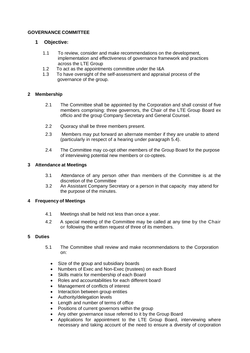# **GOVERNANCE COMMITTEE**

# **1 Objective:**

- 1.1 To review, consider and make recommendations on the development, implementation and effectiveness of governance framework and practices across the LTE Group
- 1.2 To act as the appointments committee under the I&A
- 1.3 To have oversight of the self-assessment and appraisal process of the governance of the group.

# **2 Membership**

- 2.1 The Committee shall be appointed by the Corporation and shall consist of five members comprising: three governors, the Chair of the LTE Group Board ex officio and the group Company Secretary and General Counsel.
- 2.2 Quoracy shall be three members present.
- 2.3 Members may put forward an alternate member if they are unable to attend (particularly in respect of a hearing under paragraph 5.4).
- 2.4 The Committee may co-opt other members of the Group Board for the purpose of interviewing potential new members or co-optees.

# **3 Attendance at Meetings**

- 3.1 Attendance of any person other than members of the Committee is at the discretion of the Committee
- 3.2 An Assistant Company Secretary or a person in that capacity may attend for the purpose of the minutes.

# **4 Frequency of Meetings**

- 4.1 Meetings shall be held not less than once a year.
- 4.2 A special meeting of the Committee may be called at any time by the Chair or following the written request of three of its members.

#### **5 Duties**

- 5.1 The Committee shall review and make recommendations to the Corporation on:
	- Size of the group and subsidiary boards
	- Numbers of Exec and Non-Exec (trustees) on each Board
	- Skills matrix for membership of each Board
	- Roles and accountabilities for each different board
	- Management of conflicts of interest
	- Interaction between group entities
	- Authority/delegation levels
	- Length and number of terms of office
	- Positions of current governors within the group
	- Any other governance issue referred to it by the Group Board
	- Applications for appointment to the LTE Group Board, interviewing where necessary and taking account of the need to ensure a diversity of corporation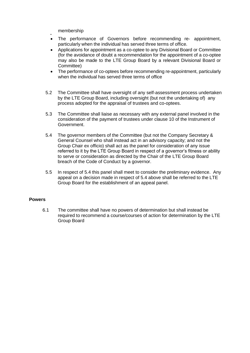- membership
- • The performance of Governors before recommending re- appointment, particularly when the individual has served three terms of office.
- Applications for appointment as a co-optee to any Divisional Board or Committee (for the avoidance of doubt a recommendation for the appointment of a co-optee may also be made to the LTE Group Board by a relevant Divisional Board or Committee)
- The performance of co-optees before recommending re-appointment, particularly when the individual has served three terms of office
- 5.2 The Committee shall have oversight of any self-assessment process undertaken by the LTE Group Board, including oversight (but not the undertaking of) any process adopted for the appraisal of trustees and co-optees.
- 5.3 The Committee shall liaise as necessary with any external panel involved in the consideration of the payment of trustees under clause 10 of the Instrument of Government.
- 5.4 The governor members of the Committee (but not the Company Secretary & General Counsel who shall instead act in an advisory capacity; and not the Group Chair ex officio) shall act as the panel for consideration of any issue referred to it by the LTE Group Board in respect of a governor's fitness or ability to serve or consideration as directed by the Chair of the LTE Group Board breach of the Code of Conduct by a governor.
- 5.5 In respect of 5.4 this panel shall meet to consider the preliminary evidence. Any appeal on a decision made in respect of 5.4 above shall be referred to the LTE Group Board for the establishment of an appeal panel.

#### **Powers**

6.1 The committee shall have no powers of determination but shall instead be required to recommend a course/courses of action for determination by the LTE Group Board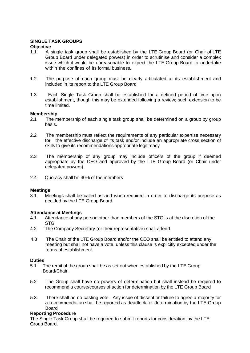# **SINGLE TASK GROUPS**

#### **Objective**

- 1.1 A single task group shall be established by the LTE Group Board (or Chair of LTE Group Board under delegated powers) in order to scrutinise and consider a complex issue which it would be unreasonable to expect the LTE Group Board to undertake within the confines of its formal business.
- 1.2 The purpose of each group must be clearly articulated at its establishment and included in its report to the LTE Group Board
- 1.3 Each Single Task Group shall be established for a defined period of time upon establishment, though this may be extended following a review; such extension to be time limited.

#### **Membership**

- 2.1 The membership of each single task group shall be determined on a group by group basis.
- 2.2 The membership must reflect the requirements of any particular expertise necessary for the effective discharge of its task and/or include an appropriate cross section of skills to give its recommendations appropriate legitimacy
- 2.3 The membership of any group may include officers of the group if deemed appropriate by the CEO and approved by the LTE Group Board (or Chair under delegated powers).
- 2.4 Quoracy shall be 40% of the members

#### **Meetings**

3.1 Meetings shall be called as and when required in order to discharge its purpose as decided by the LTE Group Board

#### **Attendance at Meetings**

- 4.1 Attendance of any person other than members of the STG is at the discretion of the STG
- 4.2 The Company Secretary (or their representative) shall attend.
- 4.3 The Chair of the LTE Group Board and/or the CEO shall be entitled to attend any meeting but shall not have a vote, unless this clause is explicitly excepted under the terms of establishment.

#### **Duties**

- 5.1 The remit of the group shall be as set out when established by the LTE Group Board/Chair.
- 5.2 The Group shall have no powers of determination but shall instead be required to recommend a course/courses of action for determination by the LTE Group Board
- 5.3 There shall be no casting vote. Any issue of dissent or failure to agree a majority for a recommendation shall be reported as deadlock for determination by the LTE Group Board

#### **Reporting Procedure**

The Single Task Group shall be required to submit reports for consideration by the LTE Group Board.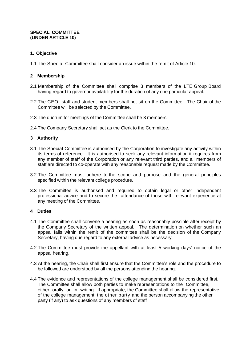#### **SPECIAL COMMITTEE (UNDER ARTICLE 10)**

# **1. Objective**

1.1 The Special Committee shall consider an issue within the remit of Article 10.

#### **2 Membership**

- 2.1 Membership of the Committee shall comprise 3 members of the LTE Group Board having regard to governor availability for the duration of any one particular appeal.
- 2.2 The CEO, staff and student members shall not sit on the Committee. The Chair of the Committee will be selected by the Committee.
- 2.3 The quorum for meetings of the Committee shall be 3 members.
- 2.4 The Company Secretary shall act as the Clerk to the Committee.

# **3 Authority**

- 3.1 The Special Committee is authorised by the Corporation to investigate any activity within its terms of reference. It is authorised to seek any relevant information it requires from any member of staff of the Corporation or any relevant third parties, and all members of staff are directed to co-operate with any reasonable request made by the Committee.
- 3.2 The Committee must adhere to the scope and purpose and the general principles specified within the relevant college procedure.
- 3.3 The Committee is authorised and required to obtain legal or other independent professional advice and to secure the attendance of those with relevant experience at any meeting of the Committee.

#### **4 Duties**

- 4.1 The Committee shall convene a hearing as soon as reasonably possible after receipt by the Company Secretary of the written appeal. The determination on whether such an appeal falls within the remit of the committee shall be the decision of the Company Secretary, having due regard to any external advice as necessary.
- 4.2 The Committee must provide the appellant with at least 5 working days' notice of the appeal hearing.
- 4.3 At the hearing, the Chair shall first ensure that the Committee's role and the procedure to be followed are understood by all the persons attending the hearing.
- 4.4 The evidence and representations of the college management shall be considered first. The Committee shall allow both parties to make representations to the Committee, either orally or in writing. If appropriate, the Committee shall allow the representative of the college management, the other party and the person accompanying the other party (if any) to ask questions of any members of staff